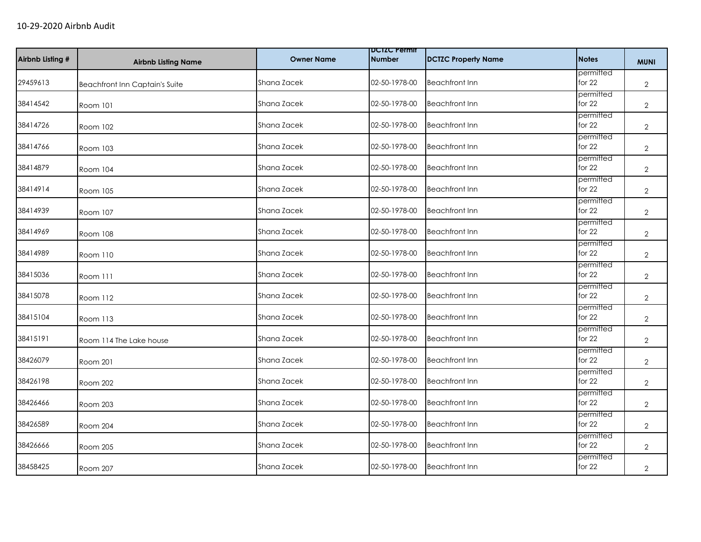| Airbnb Listing # | <b>Airbnb Listing Name</b>     | <b>Owner Name</b> | <b>DUIZU Permit</b><br><b>Number</b> | <b>DCTZC Property Name</b> | <b>Notes</b>          | <b>MUNI</b>    |
|------------------|--------------------------------|-------------------|--------------------------------------|----------------------------|-----------------------|----------------|
| 29459613         | Beachfront Inn Captain's Suite | Shana Zacek       | 02-50-1978-00                        | <b>Beachfront Inn</b>      | permitted<br>for 22   | $\mathbf{2}$   |
| 38414542         | Room 101                       | Shana Zacek       | 02-50-1978-00                        | <b>Beachfront Inn</b>      | permitted<br>for $22$ | $\mathbf{2}$   |
| 38414726         | Room 102                       | Shana Zacek       | 02-50-1978-00                        | <b>Beachfront Inn</b>      | permitted<br>for 22   | $\overline{2}$ |
| 38414766         | Room 103                       | Shana Zacek       | 02-50-1978-00                        | <b>Beachfront Inn</b>      | permitted<br>for 22   | $\mathbf{2}$   |
| 38414879         | <b>Room 104</b>                | Shana Zacek       | 02-50-1978-00                        | <b>Beachfront Inn</b>      | permitted<br>for 22   | $\overline{2}$ |
| 38414914         | Room 105                       | Shana Zacek       | 02-50-1978-00                        | <b>Beachfront Inn</b>      | permitted<br>for $22$ | $\mathbf{2}$   |
| 38414939         | <b>Room 107</b>                | Shana Zacek       | 02-50-1978-00                        | <b>Beachfront Inn</b>      | permitted<br>for 22   | $\overline{2}$ |
| 38414969         | Room 108                       | Shana Zacek       | 02-50-1978-00                        | <b>Beachfront Inn</b>      | permitted<br>for 22   | $\overline{2}$ |
| 38414989         | Room 110                       | Shana Zacek       | 02-50-1978-00                        | <b>Beachfront Inn</b>      | permitted<br>for 22   | $\overline{2}$ |
| 38415036         | Room 111                       | Shana Zacek       | 02-50-1978-00                        | <b>Beachfront Inn</b>      | permitted<br>for 22   | $\overline{2}$ |
| 38415078         | Room 112                       | Shana Zacek       | 02-50-1978-00                        | <b>Beachfront Inn</b>      | permitted<br>for 22   | $\mathbf{2}$   |
| 38415104         | Room 113                       | Shana Zacek       | 02-50-1978-00                        | <b>Beachfront Inn</b>      | permitted<br>for 22   | $\mathbf{2}$   |
| 38415191         | Room 114 The Lake house        | Shana Zacek       | 02-50-1978-00                        | <b>Beachfront Inn</b>      | permitted<br>for 22   | $\mathbf{2}$   |
| 38426079         | <b>Room 201</b>                | Shana Zacek       | 02-50-1978-00                        | <b>Beachfront Inn</b>      | permitted<br>for 22   | $\overline{2}$ |
| 38426198         | Room 202                       | Shana Zacek       | 02-50-1978-00                        | <b>Beachfront Inn</b>      | permitted<br>for 22   | $\overline{2}$ |
| 38426466         | Room 203                       | Shana Zacek       | 02-50-1978-00                        | <b>Beachfront Inn</b>      | permitted<br>for 22   | $\mathbf{2}$   |
| 38426589         | Room 204                       | Shana Zacek       | 02-50-1978-00                        | <b>Beachfront Inn</b>      | permitted<br>for 22   | $\overline{2}$ |
| 38426666         | Room 205                       | Shana Zacek       | 02-50-1978-00                        | <b>Beachfront Inn</b>      | permitted<br>for 22   | $\mathbf{2}$   |
| 38458425         | Room 207                       | Shana Zacek       | 02-50-1978-00                        | <b>Beachfront Inn</b>      | permitted<br>for 22   | $\overline{2}$ |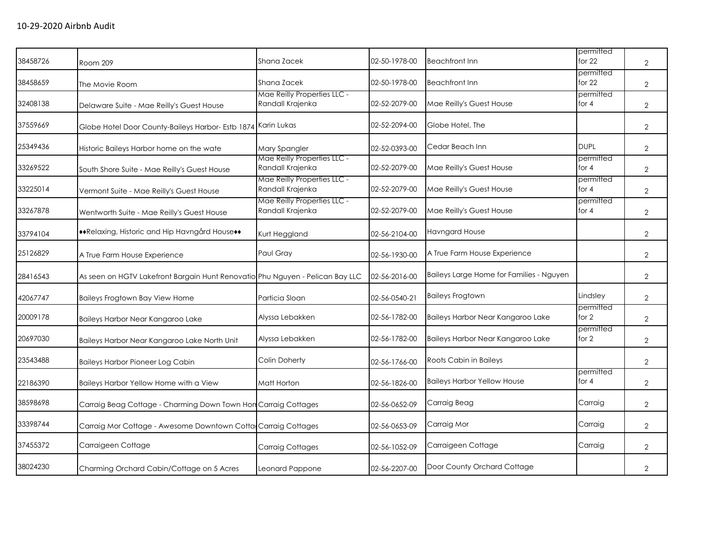| 38458726 | Room 209                                                                      | Shana Zacek                                     | 02-50-1978-00 | <b>Beachfront Inn</b>                    | permitted<br>for $22$ | $\overline{2}$ |
|----------|-------------------------------------------------------------------------------|-------------------------------------------------|---------------|------------------------------------------|-----------------------|----------------|
| 38458659 | The Movie Room                                                                | Shana Zacek                                     | 02-50-1978-00 | <b>Beachfront Inn</b>                    | permitted<br>for $22$ | $\overline{2}$ |
| 32408138 | Delaware Suite - Mae Reilly's Guest House                                     | Mae Reilly Properties LLC -<br>Randall Krajenka | 02-52-2079-00 | Mae Reilly's Guest House                 | permitted<br>for 4    | $\overline{2}$ |
| 37559669 | Globe Hotel Door County-Baileys Harbor- Estb 1874 Karin Lukas                 |                                                 | 02-52-2094-00 | Globe Hotel, The                         |                       | $\overline{2}$ |
| 25349436 | Historic Baileys Harbor home on the wate                                      | Mary Spangler                                   | 02-52-0393-00 | Cedar Beach Inn                          | <b>DUPL</b>           | $\overline{2}$ |
| 33269522 | South Shore Suite - Mae Reilly's Guest House                                  | Mae Reilly Properties LLC -<br>Randall Krajenka | 02-52-2079-00 | Mae Reilly's Guest House                 | permitted<br>for 4    | 2              |
| 33225014 | Vermont Suite - Mae Reilly's Guest House                                      | Mae Reilly Properties LLC -<br>Randall Krajenka | 02-52-2079-00 | Mae Reilly's Guest House                 | permitted<br>for $4$  | $\overline{2}$ |
| 33267878 | Wentworth Suite - Mae Reilly's Guest House                                    | Mae Reilly Properties LLC -<br>Randall Krajenka | 02-52-2079-00 | Mae Reilly's Guest House                 | permitted<br>for $4$  | $\overline{2}$ |
| 33794104 | **Relaxing, Historic and Hip Havngård House**                                 | Kurt Heggland                                   | 02-56-2104-00 | Havngard House                           |                       | 2              |
| 25126829 | A True Farm House Experience                                                  | Paul Gray                                       | 02-56-1930-00 | A True Farm House Experience             |                       | $\overline{2}$ |
| 28416543 | As seen on HGTV Lakefront Bargain Hunt Renovatio Phu Nguyen - Pelican Bay LLC |                                                 | 02-56-2016-00 | Baileys Large Home for Families - Nguyen |                       | $\overline{2}$ |
| 42067747 | Baileys Frogtown Bay View Home                                                | Particia Sloan                                  | 02-56-0540-21 | <b>Baileys Frogtown</b>                  | Lindsley              | $\overline{2}$ |
| 20009178 | Baileys Harbor Near Kangaroo Lake                                             | Alyssa Lebakken                                 | 02-56-1782-00 | Baileys Harbor Near Kangaroo Lake        | permitted<br>for 2    | $\overline{2}$ |
| 20697030 | Baileys Harbor Near Kangaroo Lake North Unit                                  | Alyssa Lebakken                                 | 02-56-1782-00 | Baileys Harbor Near Kangaroo Lake        | permitted<br>for 2    | 2              |
| 23543488 | <b>Baileys Harbor Pioneer Log Cabin</b>                                       | Colin Doherty                                   | 02-56-1766-00 | Roots Cabin in Baileys                   |                       | $\overline{2}$ |
| 22186390 | Baileys Harbor Yellow Home with a View                                        | Matt Horton                                     | 02-56-1826-00 | <b>Baileys Harbor Yellow House</b>       | permitted<br>for 4    | $\overline{2}$ |
| 38598698 | Carraig Beag Cottage - Charming Down Town Hon Carraig Cottages                |                                                 | 02-56-0652-09 | Carraig Beag                             | Carraig               | $\overline{2}$ |
| 33398744 | Carraig Mor Cottage - Awesome Downtown Cotta Carraig Cottages                 |                                                 | 02-56-0653-09 | Carraig Mor                              | Carraig               | 2              |
| 37455372 | Carraigeen Cottage                                                            | <b>Carraig Cottages</b>                         | 02-56-1052-09 | Carraigeen Cottage                       | Carraig               | $\overline{2}$ |
| 38024230 | Charming Orchard Cabin/Cottage on 5 Acres                                     | Leonard Pappone                                 | 02-56-2207-00 | Door County Orchard Cottage              |                       | $\overline{2}$ |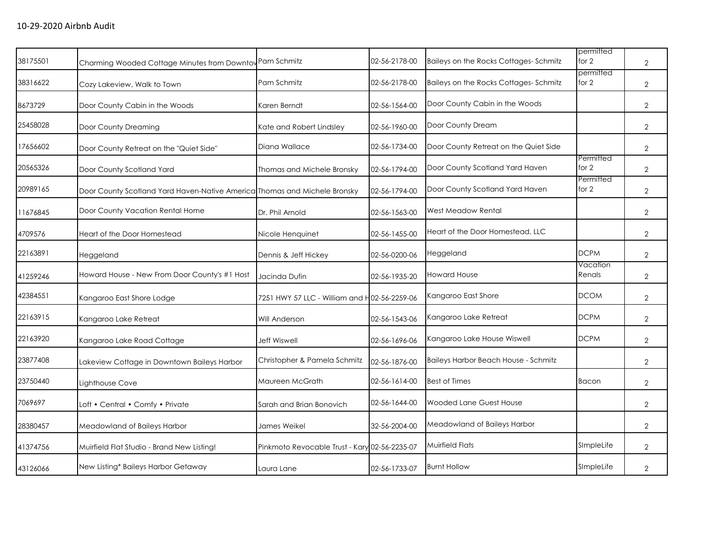|                                               |                              | 02-56-2178-00                                                                                                                         | Baileys on the Rocks Cottages-Schmitz                                                         | for 2              | $\overline{2}$                                  |
|-----------------------------------------------|------------------------------|---------------------------------------------------------------------------------------------------------------------------------------|-----------------------------------------------------------------------------------------------|--------------------|-------------------------------------------------|
| Cozy Lakeview, Walk to Town                   | Pam Schmitz                  | 02-56-2178-00                                                                                                                         | Baileys on the Rocks Cottages-Schmitz                                                         | permitted<br>for 2 | $\overline{2}$                                  |
| Door County Cabin in the Woods                | Karen Berndt                 | 02-56-1564-00                                                                                                                         | Door County Cabin in the Woods                                                                |                    | 2                                               |
| Door County Dreaming                          | Kate and Robert Lindsley     | 02-56-1960-00                                                                                                                         | Door County Dream                                                                             |                    | 2                                               |
| Door County Retreat on the "Quiet Side"       | Diana Wallace                | 02-56-1734-00                                                                                                                         | Door County Retreat on the Quiet Side                                                         |                    | $\overline{2}$                                  |
| Door County Scotland Yard                     | Thomas and Michele Bronsky   | 02-56-1794-00                                                                                                                         | Door County Scotland Yard Haven                                                               | for 2              | $\overline{2}$                                  |
|                                               |                              | 02-56-1794-00                                                                                                                         | Door County Scotland Yard Haven                                                               | for 2              | 2                                               |
| Door County Vacation Rental Home              | Dr. Phil Arnold              | 02-56-1563-00                                                                                                                         | <b>West Meadow Rental</b>                                                                     |                    | $\overline{2}$                                  |
| Heart of the Door Homestead                   | Nicole Henquinet             | 02-56-1455-00                                                                                                                         | Heart of the Door Homestead, LLC                                                              |                    | $\overline{2}$                                  |
| Heggeland                                     | Dennis & Jeff Hickey         | 02-56-0200-06                                                                                                                         | Heggeland                                                                                     | <b>DCPM</b>        | $\overline{2}$                                  |
| Howard House - New From Door County's #1 Host | Jacinda Dufin                | 02-56-1935-20                                                                                                                         | <b>Howard House</b>                                                                           | Renals             | $\overline{2}$                                  |
| Kangaroo East Shore Lodge                     |                              |                                                                                                                                       | Kangaroo East Shore                                                                           | <b>DCOM</b>        | 2                                               |
| Kangaroo Lake Retreat                         | Will Anderson                | 02-56-1543-06                                                                                                                         | Kangaroo Lake Retreat                                                                         | <b>DCPM</b>        | 2                                               |
| Kangaroo Lake Road Cottage                    | Jeff Wiswell                 | 02-56-1696-06                                                                                                                         | Kangaroo Lake House Wiswell                                                                   | <b>DCPM</b>        | $\overline{2}$                                  |
| Lakeview Cottage in Downtown Baileys Harbor   | Christopher & Pamela Schmitz | 02-56-1876-00                                                                                                                         | Baileys Harbor Beach House - Schmitz                                                          |                    | $\overline{2}$                                  |
| Lighthouse Cove                               | Maureen McGrath              | 02-56-1614-00                                                                                                                         | <b>Best of Times</b>                                                                          | Bacon              | $\overline{2}$                                  |
| Loft • Central • Comfy • Private              | Sarah and Brian Bonovich     | 02-56-1644-00                                                                                                                         | <b>Wooded Lane Guest House</b>                                                                |                    | $\overline{2}$                                  |
| Meadowland of Baileys Harbor                  | James Weikel                 | 32-56-2004-00                                                                                                                         | Meadowland of Baileys Harbor                                                                  |                    | $\overline{2}$                                  |
| Muirfield Flat Studio - Brand New Listing!    |                              |                                                                                                                                       | <b>Muirfield Flats</b>                                                                        | SImpleLife         | $\overline{2}$                                  |
| New Listing* Baileys Harbor Getaway           | Laura Lane                   | 02-56-1733-07                                                                                                                         | <b>Burnt Hollow</b>                                                                           | SImpleLife         | $\overline{2}$                                  |
|                                               |                              | Charming Wooded Cottage Minutes from Downtov Pam Schmitz<br>Door County Scotland Yard Haven-Native America Thomas and Michele Bronsky | 7251 HWY 57 LLC - William and H02-56-2259-06<br>Pinkmoto Revocable Trust - Kary 02-56-2235-07 |                    | permitted<br>Permitted<br>Permitted<br>Vacation |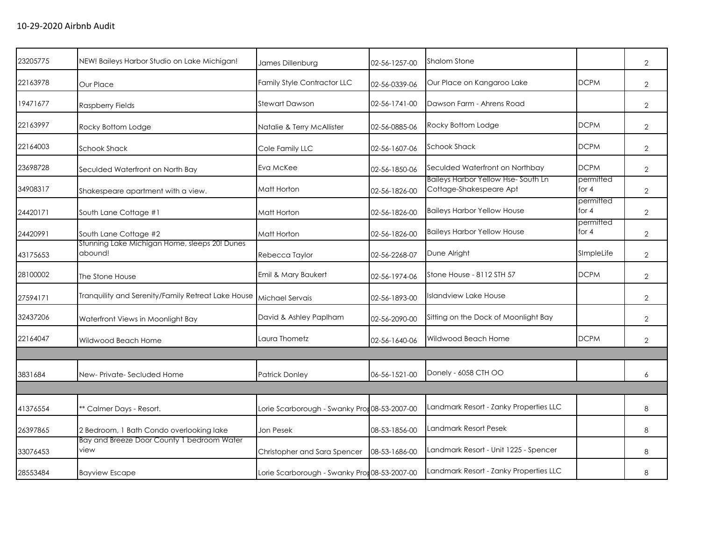| 23205775 | NEW! Baileys Harbor Studio on Lake Michigan!                       | James Dillenburg                              | 02-56-1257-00 | Shalom Stone                                                  |                      | $\overline{2}$ |
|----------|--------------------------------------------------------------------|-----------------------------------------------|---------------|---------------------------------------------------------------|----------------------|----------------|
| 22163978 | Our Place                                                          | Family Style Contractor LLC                   | 02-56-0339-06 | Our Place on Kangaroo Lake                                    | <b>DCPM</b>          | $\overline{2}$ |
| 19471677 | <b>Raspberry Fields</b>                                            | <b>Stewart Dawson</b>                         | 02-56-1741-00 | Dawson Farm - Ahrens Road                                     |                      | $\overline{2}$ |
| 22163997 | Rocky Bottom Lodge                                                 | Natalie & Terry McAllister                    | 02-56-0885-06 | Rocky Bottom Lodge                                            | <b>DCPM</b>          | $\overline{2}$ |
| 22164003 | <b>Schook Shack</b>                                                | Cole Family LLC                               | 02-56-1607-06 | <b>Schook Shack</b>                                           | <b>DCPM</b>          | $\overline{2}$ |
| 23698728 | Seculded Waterfront on North Bay                                   | Eva McKee                                     | 02-56-1850-06 | Seculded Waterfront on Northbay                               | <b>DCPM</b>          | $\overline{2}$ |
| 34908317 | Shakespeare apartment with a view.                                 | Matt Horton                                   | 02-56-1826-00 | Baileys Harbor Yellow Hse-South Ln<br>Cottage-Shakespeare Apt | permitted<br>for $4$ | $\overline{2}$ |
| 24420171 | South Lane Cottage #1                                              | Matt Horton                                   | 02-56-1826-00 | <b>Baileys Harbor Yellow House</b>                            | permitted<br>for $4$ | $\overline{2}$ |
| 24420991 | South Lane Cottage #2                                              | Matt Horton                                   | 02-56-1826-00 | <b>Baileys Harbor Yellow House</b>                            | permitted<br>for $4$ | $\overline{2}$ |
| 43175653 | Stunning Lake Michigan Home, sleeps 20! Dunes<br>abound!           | Rebecca Taylor                                | 02-56-2268-07 | Dune Alright                                                  | SImpleLife           | $\overline{2}$ |
| 28100002 | The Stone House                                                    | Emil & Mary Baukert                           | 02-56-1974-06 | Stone House - 8112 STH 57                                     | <b>DCPM</b>          | $\overline{2}$ |
| 27594171 | Tranquility and Serenity/Family Retreat Lake House Michael Servais |                                               | 02-56-1893-00 | <b>Islandview Lake House</b>                                  |                      | $\overline{2}$ |
| 32437206 | Waterfront Views in Moonlight Bay                                  | David & Ashley Paplham                        | 02-56-2090-00 | Sitting on the Dock of Moonlight Bay                          |                      | $\overline{2}$ |
| 22164047 | Wildwood Beach Home                                                | Laura Thometz                                 | 02-56-1640-06 | Wildwood Beach Home                                           | <b>DCPM</b>          | $\overline{2}$ |
|          |                                                                    |                                               |               |                                                               |                      |                |
| 3831684  | New-Private-Secluded Home                                          | <b>Patrick Donley</b>                         | 06-56-1521-00 | Donely - 6058 CTH OO                                          |                      | 6              |
|          |                                                                    |                                               |               |                                                               |                      |                |
| 41376554 | ** Calmer Days - Resort.                                           | Lorie Scarborough - Swanky Pror 08-53-2007-00 |               | Landmark Resort - Zanky Properties LLC                        |                      | 8              |
| 26397865 | 2 Bedroom, 1 Bath Condo overlooking lake                           | Jon Pesek                                     | 08-53-1856-00 | Landmark Resort Pesek                                         |                      | 8              |
| 33076453 | Bay and Breeze Door County 1 bedroom Water<br>view                 | Christopher and Sara Spencer                  | 08-53-1686-00 | Landmark Resort - Unit 1225 - Spencer                         |                      | 8              |
| 28553484 | <b>Bayview Escape</b>                                              | Lorie Scarborough - Swanky Pror 08-53-2007-00 |               | Landmark Resort - Zanky Properties LLC                        |                      | 8              |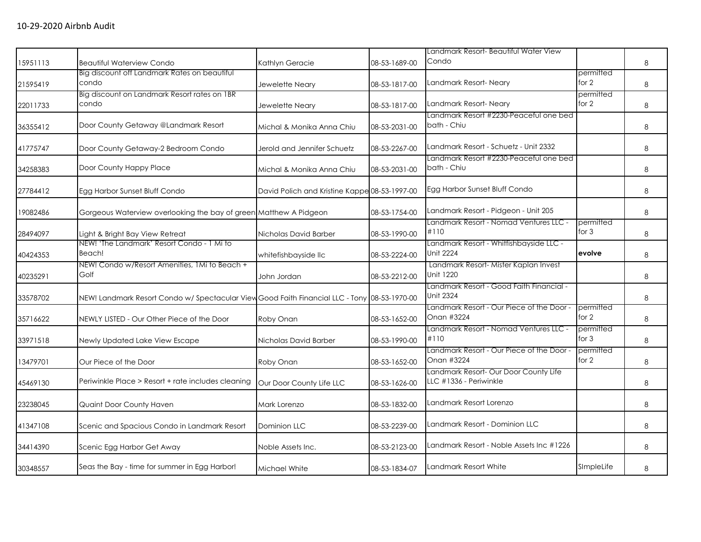| 15951113 | <b>Beautiful Waterview Condo</b>                                                             | Kathlyn Geracie                               | 08-53-1689-00 | Landmark Resort- Beautiful Water View<br>Condo                  |                      | 8       |
|----------|----------------------------------------------------------------------------------------------|-----------------------------------------------|---------------|-----------------------------------------------------------------|----------------------|---------|
| 21595419 | Big discount off Landmark Rates on beautiful<br>condo                                        | Jewelette Neary                               | 08-53-1817-00 | Landmark Resort-Neary                                           | permitted<br>for 2   | 8       |
| 22011733 | Big discount on Landmark Resort rates on 1BR<br>condo                                        | Jewelette Neary                               | 08-53-1817-00 | Landmark Resort-Neary                                           | permitted<br>for 2   | 8       |
| 36355412 | Door County Getaway @Landmark Resort                                                         | Michal & Monika Anna Chiu                     | 08-53-2031-00 | Landmark Resort #2230-Peaceful one bed<br>bath - Chiu           |                      | 8       |
| 41775747 | Door County Getaway-2 Bedroom Condo                                                          | Jerold and Jennifer Schuetz                   | 08-53-2267-00 | Landmark Resort - Schuetz - Unit 2332                           |                      | 8       |
| 34258383 | Door County Happy Place                                                                      | Michal & Monika Anna Chiu                     | 08-53-2031-00 | Landmark Resort #2230-Peaceful one bed<br>bath - Chiu           |                      | 8       |
| 27784412 | Egg Harbor Sunset Bluff Condo                                                                | David Polich and Kristine Kappe 08-53-1997-00 |               | Egg Harbor Sunset Bluff Condo                                   |                      | $\,8\,$ |
| 19082486 | Gorgeous Waterview overlooking the bay of green Matthew A Pidgeon                            |                                               | 08-53-1754-00 | Landmark Resort - Pidgeon - Unit 205                            |                      | 8       |
| 28494097 | Light & Bright Bay View Retreat                                                              | Nicholas David Barber                         | 08-53-1990-00 | Landmark Resort - Nomad Ventures LLC -<br>#110                  | permitted<br>for $3$ | 8       |
| 40424353 | NEW! 'The Landmark' Resort Condo - 1 Mi to<br>Beach!                                         | whitefishbayside llc                          | 08-53-2224-00 | Landmark Resort - Whitfishbayside LLC -<br>Unit 2224            | evolve               | 8       |
| 40235291 | NEW! Condo w/Resort Amenities, 1Mi to Beach +<br>Golf                                        | John Jordan                                   | 08-53-2212-00 | Landmark Resort- Mister Kaplan Invest<br>Unit 1220              |                      | 8       |
| 33578702 | NEW! Landmark Resort Condo w/ Spectacular View Good Faith Financial LLC - Tony 08-53-1970-00 |                                               |               | - Landmark Resort - Good Faith Financial<br><b>Unit 2324</b>    |                      | 8       |
| 35716622 | NEWLY LISTED - Our Other Piece of the Door                                                   | Roby Onan                                     | 08-53-1652-00 | Landmark Resort - Our Piece of the Door -<br>Onan #3224         | permitted<br>for 2   | 8       |
| 33971518 | Newly Updated Lake View Escape                                                               | Nicholas David Barber                         | 08-53-1990-00 | Landmark Resort - Nomad Ventures LLC -<br>#110                  | permitted<br>for $3$ | 8       |
| 13479701 | Our Piece of the Door                                                                        | Roby Onan                                     | 08-53-1652-00 | Landmark Resort - Our Piece of the Door -<br>Onan #3224         | permitted<br>for $2$ | 8       |
| 45469130 | Periwinkle Place > Resort + rate includes cleaning                                           | Our Door County Life LLC                      | 08-53-1626-00 | Landmark Resort- Our Door County Life<br>LLC #1336 - Periwinkle |                      | 8       |
| 23238045 | Quaint Door County Haven                                                                     | Mark Lorenzo                                  | 08-53-1832-00 | Landmark Resort Lorenzo                                         |                      | 8       |
| 41347108 | Scenic and Spacious Condo in Landmark Resort                                                 | <b>Dominion LLC</b>                           | 08-53-2239-00 | Landmark Resort - Dominion LLC                                  |                      | 8       |
| 34414390 | Scenic Egg Harbor Get Away                                                                   | Noble Assets Inc.                             | 08-53-2123-00 | Landmark Resort - Noble Assets Inc #1226                        |                      | 8       |
| 30348557 | Seas the Bay - time for summer in Egg Harbor!                                                | Michael White                                 | 08-53-1834-07 | Landmark Resort White                                           | SImpleLife           | 8       |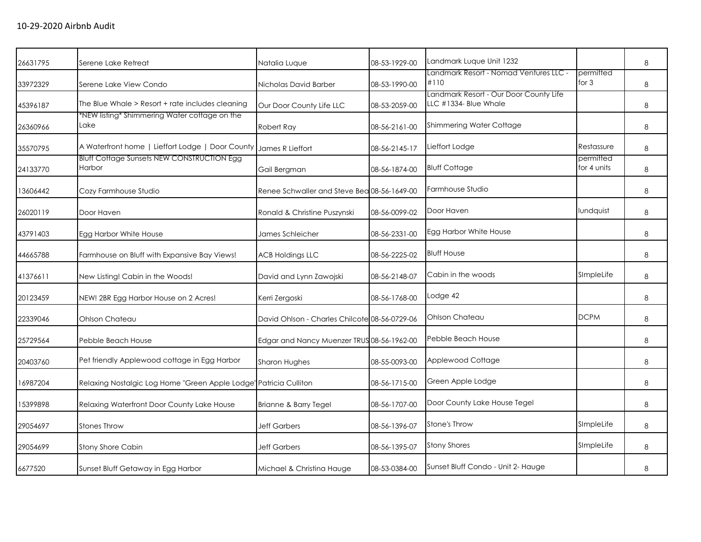| 26631795 | Serene Lake Retreat                                               | Natalia Luque                                 | 08-53-1929-00 | Landmark Luque Unit 1232                                        |                          | 8 |
|----------|-------------------------------------------------------------------|-----------------------------------------------|---------------|-----------------------------------------------------------------|--------------------------|---|
| 33972329 | Serene Lake View Condo                                            | Nicholas David Barber                         | 08-53-1990-00 | Landmark Resort - Nomad Ventures LLC -<br>#110                  | permitted<br>for 3       | 8 |
| 45396187 | The Blue Whale > Resort + rate includes cleaning                  | Our Door County Life LLC                      | 08-53-2059-00 | Landmark Resort - Our Door County Life<br>LLC #1334- Blue Whale |                          | 8 |
| 26360966 | *NEW listing* Shimmering Water cottage on the<br>Lake             | Robert Ray                                    | 08-56-2161-00 | Shimmering Water Cottage                                        |                          | 8 |
| 35570795 | A Waterfront home   Lieffort Lodge   Door County                  | James R Lieffort                              | 08-56-2145-17 | Lieffort Lodge                                                  | Restassure               | 8 |
| 24133770 | <b>Bluff Cottage Sunsets NEW CONSTRUCTION Egg</b><br>Harbor       | Gail Bergman                                  | 08-56-1874-00 | <b>Bluff Cottage</b>                                            | permitted<br>for 4 units | 8 |
| 13606442 | Cozy Farmhouse Studio                                             | Renee Schwaller and Steve Bea 08-56-1649-00   |               | Farmhouse Studio                                                |                          | 8 |
| 26020119 | Door Haven                                                        | Ronald & Christine Puszynski                  | 08-56-0099-02 | Door Haven                                                      | lundquist                | 8 |
| 43791403 | Egg Harbor White House                                            | James Schleicher                              | 08-56-2331-00 | Egg Harbor White House                                          |                          | 8 |
| 44665788 | Farmhouse on Bluff with Expansive Bay Views!                      | <b>ACB Holdings LLC</b>                       | 08-56-2225-02 | <b>Bluff House</b>                                              |                          | 8 |
| 41376611 | New Listing! Cabin in the Woods!                                  | David and Lynn Zawojski                       | 08-56-2148-07 | Cabin in the woods                                              | SImpleLife               | 8 |
| 20123459 | NEW! 2BR Egg Harbor House on 2 Acres!                             | Kerri Zergoski                                | 08-56-1768-00 | Lodge 42                                                        |                          | 8 |
| 22339046 | <b>Ohlson Chateau</b>                                             | David Ohlson - Charles Chilcote 08-56-0729-06 |               | Ohlson Chateau                                                  | <b>DCPM</b>              | 8 |
| 25729564 | Pebble Beach House                                                | Edgar and Nancy Muenzer TRUS 08-56-1962-00    |               | Pebble Beach House                                              |                          | 8 |
| 20403760 | Pet friendly Applewood cottage in Egg Harbor                      | Sharon Hughes                                 | 08-55-0093-00 | Applewood Cottage                                               |                          | 8 |
| 16987204 | Relaxing Nostalgic Log Home "Green Apple Lodge" Patricia Culliton |                                               | 08-56-1715-00 | Green Apple Lodge                                               |                          | 8 |
| 15399898 | Relaxing Waterfront Door County Lake House                        | Brianne & Barry Tegel                         | 08-56-1707-00 | Door County Lake House Tegel                                    |                          | 8 |
| 29054697 | <b>Stones Throw</b>                                               | <b>Jeff Garbers</b>                           | 08-56-1396-07 | Stone's Throw                                                   | SImpleLife               | 8 |
| 29054699 | Stony Shore Cabin                                                 | <b>Jeff Garbers</b>                           | 08-56-1395-07 | <b>Stony Shores</b>                                             | SImpleLife               | 8 |
| 6677520  | Sunset Bluff Getaway in Egg Harbor                                | Michael & Christina Hauge                     | 08-53-0384-00 | Sunset Bluff Condo - Unit 2- Hauge                              |                          | 8 |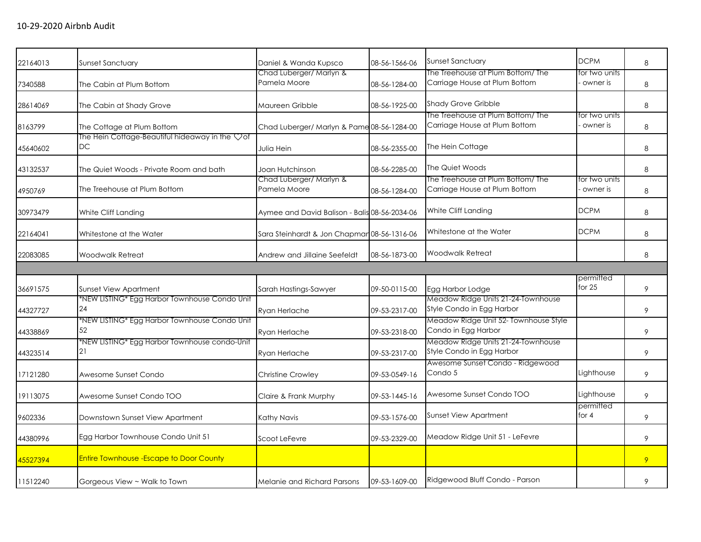| 22164013 | Sunset Sanctuary                                            | Daniel & Wanda Kupsco                         | 08-56-1566-06 | <b>Sunset Sanctuary</b>                                            | <b>DCPM</b>               | 8 |
|----------|-------------------------------------------------------------|-----------------------------------------------|---------------|--------------------------------------------------------------------|---------------------------|---|
| 7340588  | The Cabin at Plum Bottom                                    | Chad Luberger/ Marlyn &<br>Pamela Moore       | 08-56-1284-00 | The Treehouse at Plum Bottom/ The<br>Carriage House at Plum Bottom | for two units<br>owner is | 8 |
| 28614069 | The Cabin at Shady Grove                                    | Maureen Gribble                               | 08-56-1925-00 | <b>Shady Grove Gribble</b>                                         |                           | 8 |
| 8163799  | The Cottage at Plum Bottom                                  | Chad Luberger/ Marlyn & Pame 08-56-1284-00    |               | The Treehouse at Plum Bottom/The<br>Carriage House at Plum Bottom  | for two units<br>owner is | 8 |
| 45640602 | The Hein Cottage-Beautiful hideaway in the Vof<br><b>DC</b> | Julia Hein                                    | 08-56-2355-00 | The Hein Cottage                                                   |                           | 8 |
| 43132537 | The Quiet Woods - Private Room and bath                     | Joan Hutchinson                               | 08-56-2285-00 | The Quiet Woods                                                    |                           | 8 |
| 4950769  | The Treehouse at Plum Bottom                                | Chad Luberger/ Marlyn &<br>Pamela Moore       | 08-56-1284-00 | The Treehouse at Plum Bottom/The<br>Carriage House at Plum Bottom  | for two units<br>owner is | 8 |
| 30973479 | White Cliff Landing                                         | Aymee and David Balison - Balis 08-56-2034-06 |               | White Cliff Landing                                                | <b>DCPM</b>               | 8 |
| 22164041 | Whitestone at the Water                                     | Sara Steinhardt & Jon Chapmar 08-56-1316-06   |               | Whitestone at the Water                                            | <b>DCPM</b>               | 8 |
| 22083085 | Woodwalk Retreat                                            | Andrew and Jillaine Seefeldt                  | 08-56-1873-00 | Woodwalk Retreat                                                   |                           | 8 |
|          |                                                             |                                               |               |                                                                    |                           |   |
| 36691575 | Sunset View Apartment                                       | Sarah Hastings-Sawyer                         | 09-50-0115-00 | Egg Harbor Lodge                                                   | permitted<br>for $25$     | 9 |
| 44327727 | *NEW LISTING* Egg Harbor Townhouse Condo Unit<br>24         | Rvan Herlache                                 | 09-53-2317-00 | Meadow Ridge Units 21-24-Townhouse<br>Style Condo in Egg Harbor    |                           | 9 |
| 44338869 | *NEW LISTING* Egg Harbor Townhouse Condo Unit<br>52         | Ryan Herlache                                 | 09-53-2318-00 | Meadow Ridge Unit 52- Townhouse Style<br>Condo in Egg Harbor       |                           | 9 |
| 44323514 | *NEW LISTING* Egg Harbor Townhouse condo-Unit<br>21         | Ryan Herlache                                 | 09-53-2317-00 | Meadow Ridge Units 21-24-Townhouse<br>Style Condo in Egg Harbor    |                           | 9 |
| 17121280 | Awesome Sunset Condo                                        | Christine Crowley                             | 09-53-0549-16 | Awesome Sunset Condo - Ridgewood<br>Condo 5                        | Lighthouse                | 9 |
| 19113075 | Awesome Sunset Condo TOO                                    | Claire & Frank Murphy                         | 09-53-1445-16 | Awesome Sunset Condo TOO                                           | Lighthouse                | 9 |
| 9602336  | Downstown Sunset View Apartment                             | Kathy Navis                                   | 09-53-1576-00 | <b>Sunset View Apartment</b>                                       | permitted<br>for $4$      | 9 |
| 44380996 | Egg Harbor Townhouse Condo Unit 51                          | Scoot LeFevre                                 | 09-53-2329-00 | Meadow Ridge Unit 51 - LeFevre                                     |                           | 9 |
| 45527394 | <b>Entire Townhouse - Escape to Door County</b>             |                                               |               |                                                                    |                           | 9 |
| 11512240 | Gorgeous View ~ Walk to Town                                | Melanie and Richard Parsons                   | 09-53-1609-00 | Ridgewood Bluff Condo - Parson                                     |                           | 9 |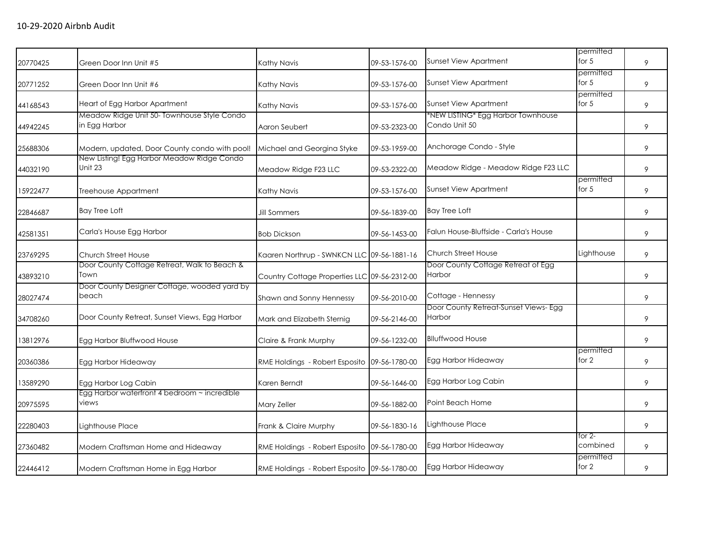| 20770425 | Green Door Inn Unit #5                                       | Kathy Navis                                  | 09-53-1576-00 | <b>Sunset View Apartment</b>                        | permitted<br>for $5$ | 9 |
|----------|--------------------------------------------------------------|----------------------------------------------|---------------|-----------------------------------------------------|----------------------|---|
| 20771252 | Green Door Inn Unit #6                                       | Kathy Navis                                  | 09-53-1576-00 | <b>Sunset View Apartment</b>                        | permitted<br>for $5$ | 9 |
| 44168543 | Heart of Egg Harbor Apartment                                | Kathy Navis                                  | 09-53-1576-00 | Sunset View Apartment                               | permitted<br>for 5   | 9 |
| 44942245 | Meadow Ridge Unit 50- Townhouse Style Condo<br>in Egg Harbor | Aaron Seubert                                | 09-53-2323-00 | *NEW LISTING* Egg Harbor Townhouse<br>Condo Unit 50 |                      | 9 |
| 25688306 | Modern, updated, Door County condo with pool!                | Michael and Georgina Styke                   | 09-53-1959-00 | Anchorage Condo - Style                             |                      | 9 |
| 44032190 | New Listing! Egg Harbor Meadow Ridge Condo<br>Unit 23        | Meadow Ridge F23 LLC                         | 09-53-2322-00 | Meadow Ridge - Meadow Ridge F23 LLC                 |                      | 9 |
| 15922477 | Treehouse Appartment                                         | Kathy Navis                                  | 09-53-1576-00 | Sunset View Apartment                               | permitted<br>for $5$ | 9 |
| 22846687 | <b>Bay Tree Loft</b>                                         | Jill Sommers                                 | 09-56-1839-00 | <b>Bay Tree Loft</b>                                |                      | 9 |
| 42581351 | Carla's House Egg Harbor                                     | <b>Bob Dickson</b>                           | 09-56-1453-00 | Falun House-Bluffside - Carla's House               |                      | 9 |
| 23769295 | Church Street House                                          | Kaaren Northrup - SWNKCN LLC 09-56-1881-16   |               | <b>Church Street House</b>                          | Lighthouse           | 9 |
| 43893210 | Door County Cottage Retreat, Walk to Beach &<br>Town         | Country Cottage Properties LLC 09-56-2312-00 |               | Door County Cottage Retreat of Egg<br>Harbor        |                      | 9 |
| 28027474 | Door County Designer Cottage, wooded yard by<br>beach        | Shawn and Sonny Hennessy                     | 09-56-2010-00 | Cottage - Hennessy                                  |                      | 9 |
| 34708260 | Door County Retreat, Sunset Views, Egg Harbor                | Mark and Elizabeth Sternig                   | 09-56-2146-00 | Door County Retreat-Sunset Views- Egg<br>Harbor     |                      | 9 |
| 13812976 | Egg Harbor Bluffwood House                                   | Claire & Frank Murphy                        | 09-56-1232-00 | <b>Blluffwood House</b>                             |                      | 9 |
| 20360386 | Egg Harbor Hideaway                                          | RME Holdings - Robert Esposito 09-56-1780-00 |               | Egg Harbor Hideaway                                 | permitted<br>for 2   | 9 |
| 13589290 | Egg Harbor Log Cabin                                         | Karen Berndt                                 | 09-56-1646-00 | Egg Harbor Log Cabin                                |                      | 9 |
| 20975595 | Egg Harbor waterfront 4 bedroom ~ incredible<br>views        | Mary Zeller                                  | 09-56-1882-00 | Point Beach Home                                    |                      | 9 |
| 22280403 | Lighthouse Place                                             | Frank & Claire Murphy                        | 09-56-1830-16 | Lighthouse Place                                    |                      | 9 |
| 27360482 | Modern Craftsman Home and Hideaway                           | RME Holdings - Robert Esposito 09-56-1780-00 |               | Egg Harbor Hideaway                                 | for 2-<br>combined   | 9 |
| 22446412 | Modern Craftsman Home in Egg Harbor                          | RME Holdings - Robert Esposito 09-56-1780-00 |               | Egg Harbor Hideaway                                 | permitted<br>for 2   | 9 |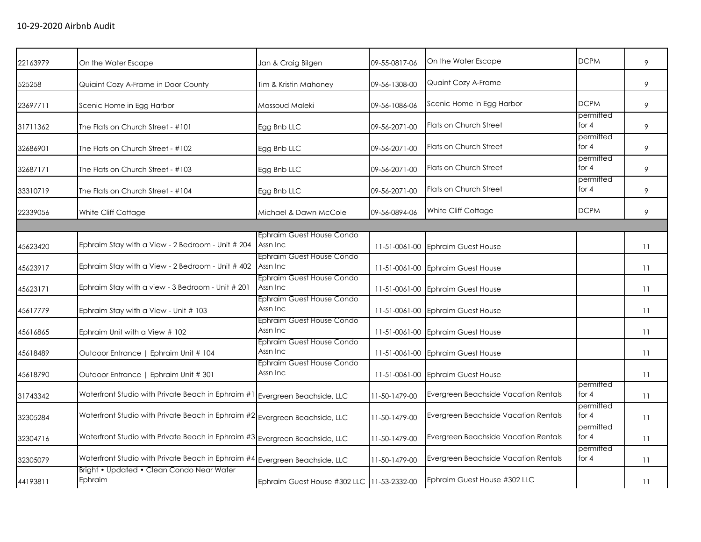| 22163979 | On the Water Escape                                                            | Jan & Craig Bilgen                         | 09-55-0817-06 | On the Water Escape                  | <b>DCPM</b>          | 9  |
|----------|--------------------------------------------------------------------------------|--------------------------------------------|---------------|--------------------------------------|----------------------|----|
| 525258   | Quiaint Cozy A-Frame in Door County                                            | Tim & Kristin Mahoney                      | 09-56-1308-00 | Quaint Cozy A-Frame                  |                      | 9  |
| 23697711 | Scenic Home in Egg Harbor                                                      | Massoud Maleki                             | 09-56-1086-06 | Scenic Home in Egg Harbor            | <b>DCPM</b>          | 9  |
| 31711362 | The Flats on Church Street - #101                                              | Egg Bnb LLC                                | 09-56-2071-00 | Flats on Church Street               | permitted<br>for $4$ | 9  |
| 32686901 | The Flats on Church Street - #102                                              | Egg Bnb LLC                                | 09-56-2071-00 | Flats on Church Street               | permitted<br>for 4   | 9  |
| 32687171 | The Flats on Church Street - #103                                              | Egg Bnb LLC                                | 09-56-2071-00 | Flats on Church Street               | permitted<br>for $4$ | 9  |
| 33310719 | The Flats on Church Street - #104                                              | Egg Bnb LLC                                | 09-56-2071-00 | Flats on Church Street               | permitted<br>for $4$ | 9  |
| 22339056 | White Cliff Cottage                                                            | Michael & Dawn McCole                      | 09-56-0894-06 | White Cliff Cottage                  | <b>DCPM</b>          | 9  |
|          |                                                                                |                                            |               |                                      |                      |    |
| 45623420 | Ephraim Stay with a View - 2 Bedroom - Unit # 204                              | Ephraim Guest House Condo<br>Assn Inc      | 11-51-0061-00 | <b>Ephraim Guest House</b>           |                      | 11 |
| 45623917 | Ephraim Stay with a View - 2 Bedroom - Unit # 402                              | Ephraim Guest House Condo<br>Assn Inc      | 11-51-0061-00 | <b>Ephraim Guest House</b>           |                      | 11 |
| 45623171 | Ephraim Stay with a view - 3 Bedroom - Unit # 201                              | Ephraim Guest House Condo<br>Assn Inc      | 11-51-0061-00 | <b>Ephraim Guest House</b>           |                      | 11 |
| 45617779 | Ephraim Stay with a View - Unit # 103                                          | Ephraim Guest House Condo<br>Assn Inc      | 11-51-0061-00 | <b>Ephraim Guest House</b>           |                      | 11 |
| 45616865 | Ephraim Unit with a View # 102                                                 | Ephraim Guest House Condo<br>Assn Inc      | 11-51-0061-00 | <b>Ephraim Guest House</b>           |                      | 11 |
| 45618489 | Outdoor Entrance   Ephraim Unit # 104                                          | Ephraim Guest House Condo<br>Assn Inc      | 11-51-0061-00 | <b>Ephraim Guest House</b>           |                      | 11 |
| 45618790 | Outdoor Entrance   Ephraim Unit # 301                                          | Ephraim Guest House Condo<br>Assn Inc      | 11-51-0061-00 | <b>Ephraim Guest House</b>           |                      | 11 |
| 31743342 | Waterfront Studio with Private Beach in Ephraim #1                             | Evergreen Beachside, LLC                   | 11-50-1479-00 | Evergreen Beachside Vacation Rentals | permitted<br>for $4$ | 11 |
| 32305284 | Waterfront Studio with Private Beach in Ephraim $\#2$ Evergreen Beachside, LLC |                                            | 11-50-1479-00 | Evergreen Beachside Vacation Rentals | permitted<br>for $4$ | 11 |
| 32304716 | Waterfront Studio with Private Beach in Ephraim #3 Evergreen Beachside, LLC    |                                            | 11-50-1479-00 | Evergreen Beachside Vacation Rentals | permitted<br>for $4$ | 11 |
| 32305079 | Waterfront Studio with Private Beach in Ephraim #4 Evergreen Beachside, LLC    |                                            | 11-50-1479-00 | Evergreen Beachside Vacation Rentals | permitted<br>for 4   | 11 |
| 44193811 | Bright • Updated • Clean Condo Near Water<br>Ephraim                           | Ephraim Guest House #302 LLC 11-53-2332-00 |               | Ephraim Guest House #302 LLC         |                      | 11 |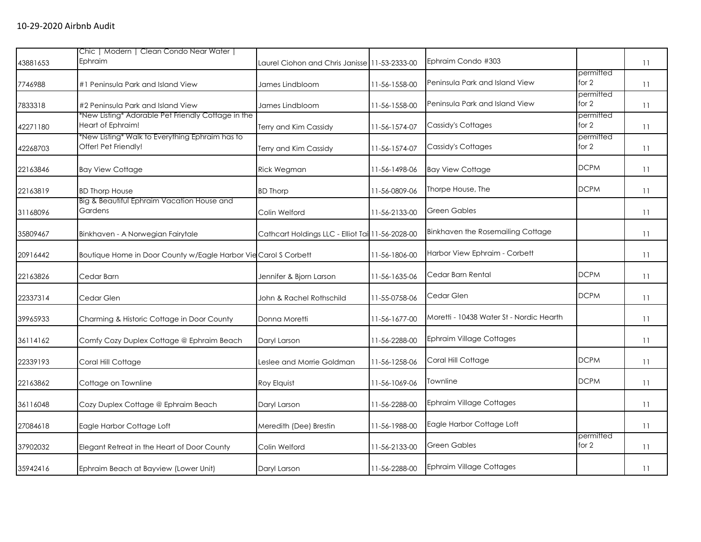|          | Chic   Modern   Clean Condo Near Water                                  |                                                  |               |                                          |                      |    |
|----------|-------------------------------------------------------------------------|--------------------------------------------------|---------------|------------------------------------------|----------------------|----|
| 43881653 | Ephraim                                                                 | Laurel Ciohon and Chris Janisse 11-53-2333-00    |               | Ephraim Condo #303                       |                      | 11 |
| 7746988  | #1 Peninsula Park and Island View                                       | James Lindbloom                                  | 11-56-1558-00 | Peninsula Park and Island View           | permitted<br>for $2$ | 11 |
| 7833318  | #2 Peninsula Park and Island View                                       | James Lindbloom                                  | 11-56-1558-00 | Peninsula Park and Island View           | permitted<br>for 2   | 11 |
| 42271180 | *New Listing* Adorable Pet Friendly Cottage in the<br>Heart of Ephraim! | Terry and Kim Cassidy                            | 11-56-1574-07 | <b>Cassidy's Cottages</b>                | permitted<br>for 2   | 11 |
| 42268703 | *New Listing* Walk to Everything Ephraim has to<br>Offer! Pet Friendly! | Terry and Kim Cassidy                            | 11-56-1574-07 | Cassidy's Cottages                       | permitted<br>for 2   | 11 |
| 22163846 | <b>Bay View Cottage</b>                                                 | Rick Wegman                                      | 11-56-1498-06 | <b>Bay View Cottage</b>                  | <b>DCPM</b>          | 11 |
| 22163819 | <b>BD Thorp House</b>                                                   | <b>BD</b> Thorp                                  | 11-56-0809-06 | Thorpe House, The                        | <b>DCPM</b>          | 11 |
| 31168096 | Big & Beautiful Ephraim Vacation House and<br>Gardens                   | Colin Welford                                    | 11-56-2133-00 | <b>Green Gables</b>                      |                      | 11 |
| 35809467 | Binkhaven - A Norwegian Fairytale                                       | Cathcart Holdings LLC - Elliot Tai 11-56-2028-00 |               | Binkhaven the Rosemailing Cottage        |                      | 11 |
| 20916442 | Boutique Home in Door County w/Eagle Harbor Vie Carol S Corbett         |                                                  | 11-56-1806-00 | Harbor View Ephraim - Corbett            |                      | 11 |
| 22163826 | Cedar Barn                                                              | Jennifer & Bjorn Larson                          | 11-56-1635-06 | Cedar Barn Rental                        | <b>DCPM</b>          | 11 |
| 22337314 | Cedar Glen                                                              | John & Rachel Rothschild                         | 11-55-0758-06 | Cedar Glen                               | <b>DCPM</b>          | 11 |
| 39965933 | Charming & Historic Cottage in Door County                              | Donna Moretti                                    | 11-56-1677-00 | Moretti - 10438 Water St - Nordic Hearth |                      | 11 |
| 36114162 | Comfy Cozy Duplex Cottage @ Ephraim Beach                               | Daryl Larson                                     | 11-56-2288-00 | <b>Ephraim Village Cottages</b>          |                      | 11 |
| 22339193 | Coral Hill Cottage                                                      | Leslee and Morrie Goldman                        | 11-56-1258-06 | Coral Hill Cottage                       | <b>DCPM</b>          | 11 |
| 22163862 | Cottage on Townline                                                     | Roy Elquist                                      | 11-56-1069-06 | Townline                                 | <b>DCPM</b>          | 11 |
| 36116048 | Cozy Duplex Cottage @ Ephraim Beach                                     | Daryl Larson                                     | 11-56-2288-00 | <b>Ephraim Village Cottages</b>          |                      | 11 |
| 27084618 | Eagle Harbor Cottage Loft                                               | Meredith (Dee) Brestin                           | 11-56-1988-00 | Eagle Harbor Cottage Loft                |                      | 11 |
| 37902032 | Elegant Retreat in the Heart of Door County                             | Colin Welford                                    | 11-56-2133-00 | <b>Green Gables</b>                      | permitted<br>for $2$ | 11 |
| 35942416 | Ephraim Beach at Bayview (Lower Unit)                                   | Daryl Larson                                     | 11-56-2288-00 | Ephraim Village Cottages                 |                      | 11 |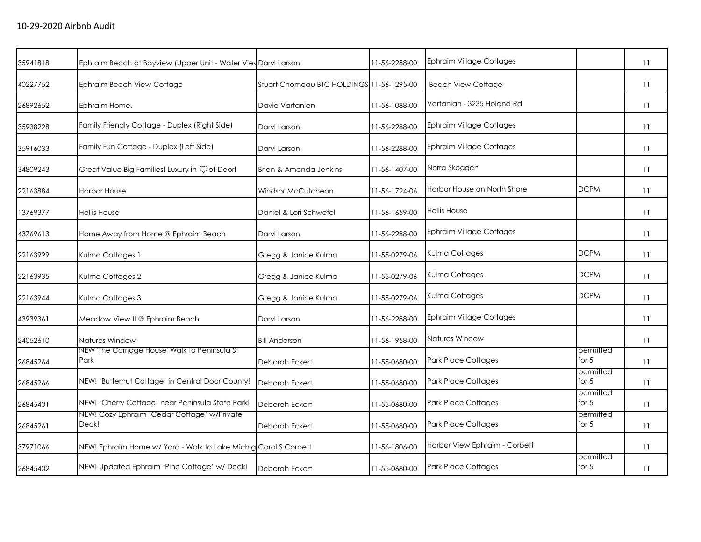| 35941818 | Ephraim Beach at Bayview (Upper Unit - Water Viev Daryl Larson  |                                           | 11-56-2288-00 | <b>Ephraim Village Cottages</b> |                      | 11 |
|----------|-----------------------------------------------------------------|-------------------------------------------|---------------|---------------------------------|----------------------|----|
| 40227752 | Ephraim Beach View Cottage                                      | Stuart Chomeau BTC HOLDINGS 11-56-1295-00 |               | <b>Beach View Cottage</b>       |                      | 11 |
| 26892652 | Ephraim Home.                                                   | David Vartanian                           | 11-56-1088-00 | Vartanian - 3235 Holand Rd      |                      | 11 |
| 35938228 | Family Friendly Cottage - Duplex (Right Side)                   | Daryl Larson                              | 11-56-2288-00 | <b>Ephraim Village Cottages</b> |                      | 11 |
| 35916033 | Family Fun Cottage - Duplex (Left Side)                         | Daryl Larson                              | 11-56-2288-00 | <b>Ephraim Village Cottages</b> |                      | 11 |
| 34809243 | Great Value Big Families! Luxury in $\heartsuit$ of Door!       | Brian & Amanda Jenkins                    | 11-56-1407-00 | Norra Skoggen                   |                      | 11 |
| 22163884 | <b>Harbor House</b>                                             | Windsor McCutcheon                        | 11-56-1724-06 | Harbor House on North Shore     | <b>DCPM</b>          | 11 |
| 13769377 | <b>Hollis House</b>                                             | Daniel & Lori Schwefel                    | 11-56-1659-00 | <b>Hollis House</b>             |                      | 11 |
| 43769613 | Home Away from Home @ Ephraim Beach                             | Daryl Larson                              | 11-56-2288-00 | <b>Ephraim Village Cottages</b> |                      | 11 |
| 22163929 | Kulma Cottages 1                                                | Gregg & Janice Kulma                      | 11-55-0279-06 | Kulma Cottages                  | <b>DCPM</b>          | 11 |
| 22163935 | Kulma Cottages 2                                                | Gregg & Janice Kulma                      | 11-55-0279-06 | Kulma Cottages                  | <b>DCPM</b>          | 11 |
| 22163944 | Kulma Cottages 3                                                | Gregg & Janice Kulma                      | 11-55-0279-06 | Kulma Cottages                  | <b>DCPM</b>          | 11 |
| 43939361 | Meadow View II @ Ephraim Beach                                  | Daryl Larson                              | 11-56-2288-00 | <b>Ephraim Village Cottages</b> |                      | 11 |
| 24052610 | Natures Window                                                  | <b>Bill Anderson</b>                      | 11-56-1958-00 | Natures Window                  |                      | 11 |
| 26845264 | NEW 'The Carriage House' Walk to Peninsula St<br>Park           | Deborah Eckert                            | 11-55-0680-00 | Park Place Cottages             | permitted<br>for $5$ | 11 |
| 26845266 | NEW! 'Butternut Cottage' in Central Door County!                | Deborah Eckert                            | 11-55-0680-00 | Park Place Cottages             | permitted<br>for $5$ | 11 |
| 26845401 | NEW! 'Cherry Cottage' near Peninsula State Park!                | Deborah Eckert                            | 11-55-0680-00 | <b>Park Place Cottages</b>      | permitted<br>for $5$ | 11 |
| 26845261 | NEW! Cozy Ephraim 'Cedar Cottage' w/Private<br>Deck!            | Deborah Eckert                            | 11-55-0680-00 | <b>Park Place Cottages</b>      | permitted<br>for $5$ | 11 |
| 37971066 | NEW! Ephraim Home w/ Yard - Walk to Lake Michig Carol S Corbett |                                           | 11-56-1806-00 | Harbor View Ephraim - Corbett   |                      | 11 |
| 26845402 | NEW! Updated Ephraim 'Pine Cottage' w/ Deck!                    | Deborah Eckert                            | 11-55-0680-00 | <b>Park Place Cottages</b>      | permitted<br>for 5   | 11 |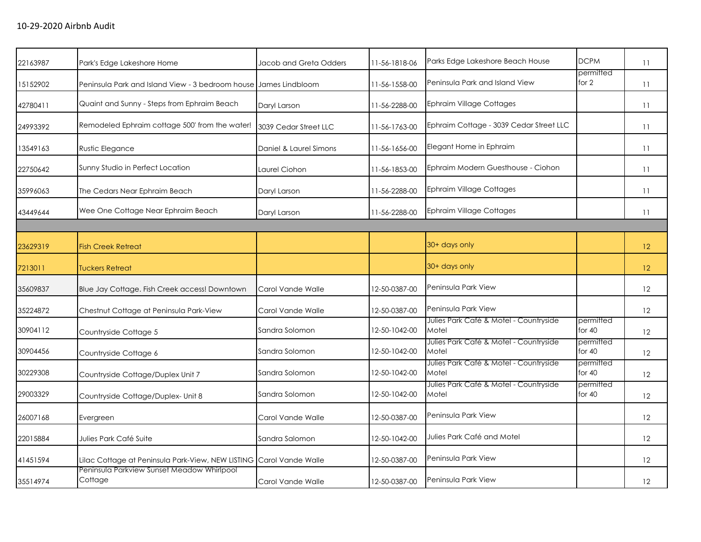| 22163987 | Park's Edge Lakeshore Home                                          | Jacob and Greta Odders | 11-56-1818-06 | Parks Edge Lakeshore Beach House                | <b>DCPM</b>           | 11                |
|----------|---------------------------------------------------------------------|------------------------|---------------|-------------------------------------------------|-----------------------|-------------------|
| 15152902 | Peninsula Park and Island View - 3 bedroom house James Lindbloom    |                        | 11-56-1558-00 | Peninsula Park and Island View                  | permitted<br>for 2    | 11                |
| 42780411 | Quaint and Sunny - Steps from Ephraim Beach                         | Daryl Larson           | 11-56-2288-00 | <b>Ephraim Village Cottages</b>                 |                       | 11                |
| 24993392 | Remodeled Ephraim cottage 500' from the water!                      | 3039 Cedar Street LLC  | 11-56-1763-00 | Ephraim Cottage - 3039 Cedar Street LLC         |                       | 11                |
| 13549163 | Rustic Elegance                                                     | Daniel & Laurel Simons | 11-56-1656-00 | Elegant Home in Ephraim                         |                       | 11                |
| 22750642 | Sunny Studio in Perfect Location                                    | Laurel Ciohon          | 11-56-1853-00 | Ephraim Modern Guesthouse - Ciohon              |                       | 11                |
| 35996063 | The Cedars Near Ephraim Beach                                       | Daryl Larson           | 11-56-2288-00 | <b>Ephraim Village Cottages</b>                 |                       | 11                |
| 43449644 | Wee One Cottage Near Ephraim Beach                                  | Daryl Larson           | 11-56-2288-00 | <b>Ephraim Village Cottages</b>                 |                       | 11                |
|          |                                                                     |                        |               |                                                 |                       |                   |
| 23629319 | <b>Fish Creek Retreat</b>                                           |                        |               | 30+ days only                                   |                       | 12 <sup>°</sup>   |
| 7213011  | <b>Tuckers Retreat</b>                                              |                        |               | 30+ days only                                   |                       | 12 <sup>°</sup>   |
| 35609837 | Blue Jay Cottage. Fish Creek access! Downtown                       | Carol Vande Walle      | 12-50-0387-00 | Peninsula Park View                             |                       | 12                |
| 35224872 | Chestnut Cottage at Peninsula Park-View                             | Carol Vande Walle      | 12-50-0387-00 | Peninsula Park View                             |                       | 12                |
| 30904112 | Countryside Cottage 5                                               | Sandra Solomon         | 12-50-1042-00 | Julies Park Café & Motel - Countryside<br>Motel | permitted<br>for $40$ | 12                |
| 30904456 | Countryside Cottage 6                                               | Sandra Solomon         | 12-50-1042-00 | Julies Park Café & Motel - Countryside<br>Motel | permitted<br>for $40$ | 12                |
| 30229308 | Countryside Cottage/Duplex Unit 7                                   | Sandra Solomon         | 12-50-1042-00 | Julies Park Café & Motel - Countryside<br>Motel | permitted<br>for $40$ | 12                |
| 29003329 | Countryside Cottage/Duplex- Unit 8                                  | Sandra Solomon         | 12-50-1042-00 | Julies Park Café & Motel - Countryside<br>Motel | permitted<br>for $40$ | 12                |
| 26007168 | Evergreen                                                           | Carol Vande Walle      | 12-50-0387-00 | Peninsula Park View                             |                       | 12                |
| 22015884 | Julies Park Café Suite                                              | Sandra Salomon         | 12-50-1042-00 | Julies Park Café and Motel                      |                       | 12                |
| 41451594 | Lilac Cottage at Peninsula Park-View, NEW LISTING Carol Vande Walle |                        | 12-50-0387-00 | Peninsula Park View                             |                       | $12 \overline{ }$ |
| 35514974 | Peninsula Parkview Sunset Meadow Whirlpool<br>Cottage               | Carol Vande Walle      | 12-50-0387-00 | Peninsula Park View                             |                       | 12                |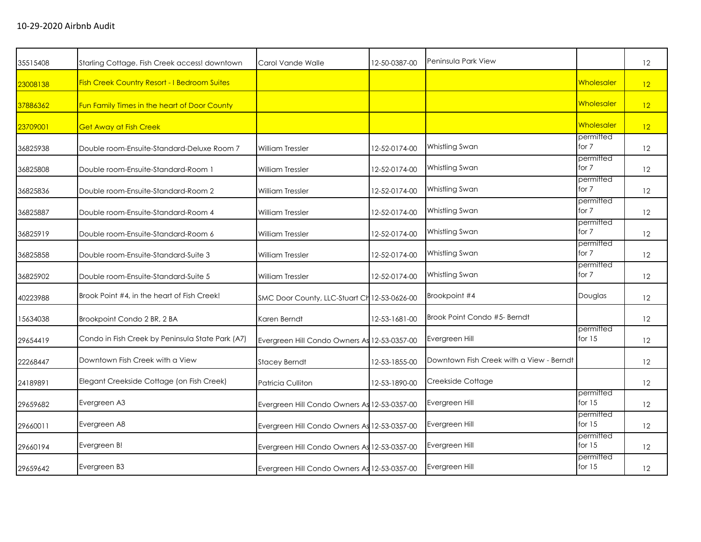| 35515408 | Starling Cottage. Fish Creek access! downtown       | Carol Vande Walle                            | 12-50-0387-00 | Peninsula Park View                      |                       | 12 |
|----------|-----------------------------------------------------|----------------------------------------------|---------------|------------------------------------------|-----------------------|----|
| 23008138 | <b>Fish Creek Country Resort - I Bedroom Suites</b> |                                              |               |                                          | Wholesaler            | 12 |
| 37886362 | Fun Family Times in the heart of Door County        |                                              |               |                                          | Wholesaler            | 12 |
| 23709001 | <b>Get Away at Fish Creek</b>                       |                                              |               |                                          | Wholesaler            | 12 |
| 36825938 | Double room-Ensuite-Standard-Deluxe Room 7          | <b>William Tressler</b>                      | 12-52-0174-00 | Whistling Swan                           | permitted<br>for 7    | 12 |
| 36825808 | Double room-Ensuite-Standard-Room 1                 | <b>William Tressler</b>                      | 12-52-0174-00 | Whistling Swan                           | permitted<br>for 7    | 12 |
| 36825836 | Double room-Ensuite-Standard-Room 2                 | <b>William Tressler</b>                      | 12-52-0174-00 | <b>Whistling Swan</b>                    | permitted<br>for 7    | 12 |
| 36825887 | Double room-Ensuite-Standard-Room 4                 | <b>William Tressler</b>                      | 12-52-0174-00 | Whistling Swan                           | permitted<br>for 7    | 12 |
| 36825919 | Double room-Ensuite-Standard-Room 6                 | <b>William Tressler</b>                      | 12-52-0174-00 | Whistling Swan                           | permitted<br>for 7    | 12 |
| 36825858 | Double room-Ensuite-Standard-Suite 3                | William Tressler                             | 12-52-0174-00 | Whistling Swan                           | permitted<br>for 7    | 12 |
| 36825902 | Double room-Ensuite-Standard-Suite 5                | <b>William Tressler</b>                      | 12-52-0174-00 | Whistling Swan                           | permitted<br>for 7    | 12 |
| 40223988 | Brook Point #4, in the heart of Fish Creek!         | SMC Door County, LLC-Stuart Ch 12-53-0626-00 |               | Brookpoint #4                            | Douglas               | 12 |
| 15634038 | Brookpoint Condo 2 BR, 2 BA                         | Karen Berndt                                 | 12-53-1681-00 | Brook Point Condo #5- Berndt             |                       | 12 |
| 29654419 | Condo in Fish Creek by Peninsula State Park (A7)    | Evergreen Hill Condo Owners As 12-53-0357-00 |               | Evergreen Hill                           | permitted<br>for $15$ | 12 |
| 22268447 | Downtown Fish Creek with a View                     | <b>Stacey Berndt</b>                         | 12-53-1855-00 | Downtown Fish Creek with a View - Berndt |                       | 12 |
| 24189891 | Elegant Creekside Cottage (on Fish Creek)           | Patricia Culliton                            | 12-53-1890-00 | Creekside Cottage                        |                       | 12 |
| 29659682 | Evergreen A3                                        | Evergreen Hill Condo Owners As 12-53-0357-00 |               | Evergreen Hill                           | permitted<br>for $15$ | 12 |
| 29660011 | Evergreen A8                                        | Evergreen Hill Condo Owners As 12-53-0357-00 |               | Evergreen Hill                           | permitted<br>for $15$ | 12 |
| 29660194 | Evergreen B!                                        | Evergreen Hill Condo Owners As 12-53-0357-00 |               | Evergreen Hill                           | permitted<br>for $15$ | 12 |
| 29659642 | Evergreen B3                                        | Evergreen Hill Condo Owners As 12-53-0357-00 |               | Evergreen Hill                           | permitted<br>for $15$ | 12 |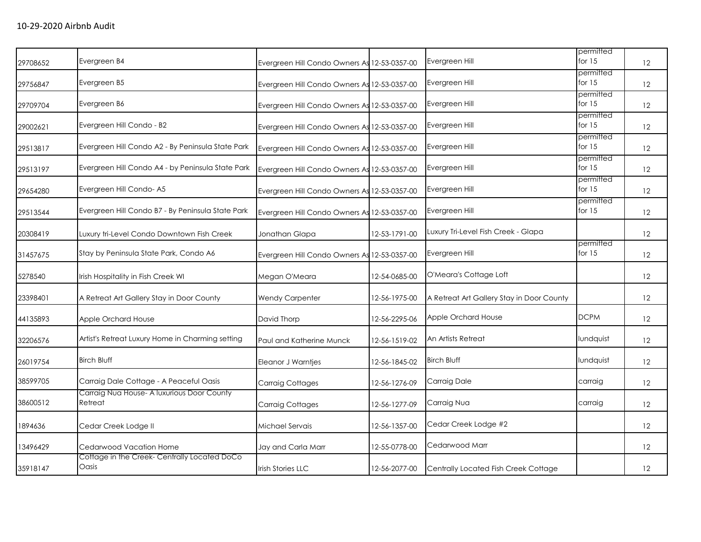| 29708652 | Evergreen B4                                          | Evergreen Hill Condo Owners As 12-53-0357-00 |               | Evergreen Hill                            | permitted<br>for $15$ | 12                |
|----------|-------------------------------------------------------|----------------------------------------------|---------------|-------------------------------------------|-----------------------|-------------------|
| 29756847 | Evergreen B5                                          | Evergreen Hill Condo Owners As 12-53-0357-00 |               | Evergreen Hill                            | permitted<br>for $15$ | 12                |
| 29709704 | Evergreen B6                                          | Evergreen Hill Condo Owners As 12-53-0357-00 |               | Evergreen Hill                            | permitted<br>for $15$ | 12                |
| 29002621 | Evergreen Hill Condo - B2                             | Evergreen Hill Condo Owners As 12-53-0357-00 |               | Evergreen Hill                            | permitted<br>for $15$ | 12                |
| 29513817 | Evergreen Hill Condo A2 - By Peninsula State Park     | Evergreen Hill Condo Owners As 12-53-0357-00 |               | Evergreen Hill                            | permitted<br>for $15$ | 12                |
| 29513197 | Evergreen Hill Condo A4 - by Peninsula State Park     | Evergreen Hill Condo Owners As 12-53-0357-00 |               | Evergreen Hill                            | permitted<br>for $15$ | 12                |
| 29654280 | Evergreen Hill Condo-A5                               | Evergreen Hill Condo Owners As 12-53-0357-00 |               | Evergreen Hill                            | permitted<br>for $15$ | 12                |
| 29513544 | Evergreen Hill Condo B7 - By Peninsula State Park     | Evergreen Hill Condo Owners As 12-53-0357-00 |               | Evergreen Hill                            | permitted<br>for $15$ | 12                |
| 20308419 | Luxury tri-Level Condo Downtown Fish Creek            | Jonathan Glapa                               | 12-53-1791-00 | Luxury Tri-Level Fish Creek - Glapa       |                       | 12                |
| 31457675 | Stay by Peninsula State Park, Condo A6                | Evergreen Hill Condo Owners As 12-53-0357-00 |               | Evergreen Hill                            | permitted<br>for $15$ | 12                |
| 5278540  | Irish Hospitality in Fish Creek WI                    | Megan O'Meara                                | 12-54-0685-00 | O'Meara's Cottage Loft                    |                       | 12                |
| 23398401 | A Retreat Art Gallery Stay in Door County             | <b>Wendy Carpenter</b>                       | 12-56-1975-00 | A Retreat Art Gallery Stay in Door County |                       | 12                |
| 44135893 | Apple Orchard House                                   | David Thorp                                  | 12-56-2295-06 | Apple Orchard House                       | <b>DCPM</b>           | 12                |
| 32206576 | Artist's Retreat Luxury Home in Charming setting      | Paul and Katherine Munck                     | 12-56-1519-02 | An Artists Retreat                        | lundquist             | 12                |
| 26019754 | <b>Birch Bluff</b>                                    | Eleanor J Warntjes                           | 12-56-1845-02 | <b>Birch Bluff</b>                        | lundquist             | 12                |
| 38599705 | Carraig Dale Cottage - A Peaceful Oasis               | Carraig Cottages                             | 12-56-1276-09 | Carraig Dale                              | carraig               | 12                |
| 38600512 | Carraig Nua House- A luxurious Door County<br>Retreat | Carraig Cottages                             | 12-56-1277-09 | Carraig Nua                               | carraig               | 12                |
| 1894636  | Cedar Creek Lodge II                                  | Michael Servais                              | 12-56-1357-00 | Cedar Creek Lodge #2                      |                       | 12                |
| 13496429 | Cedarwood Vacation Home                               | Jay and Carla Marr                           | 12-55-0778-00 | Cedarwood Marr                            |                       | 12                |
| 35918147 | Cottage in the Creek-Centrally Located DoCo<br>Oasis  | <b>Irish Stories LLC</b>                     | 12-56-2077-00 | Centrally Located Fish Creek Cottage      |                       | $12 \overline{ }$ |
|          |                                                       |                                              |               |                                           |                       |                   |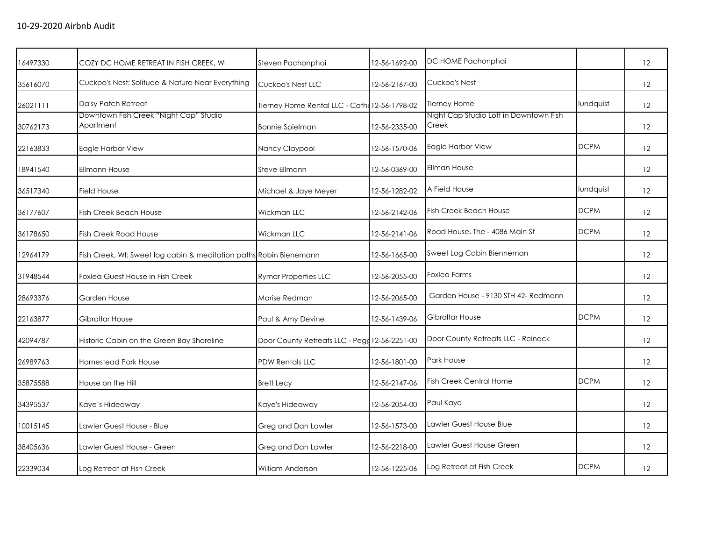| 16497330 | COZY DC HOME RETREAT IN FISH CREEK, WI                             | Steven Pachonphai                             | 12-56-1692-00 | DC HOME Pachonphai                              |             | 12                |
|----------|--------------------------------------------------------------------|-----------------------------------------------|---------------|-------------------------------------------------|-------------|-------------------|
| 35616070 | Cuckoo's Nest: Solitude & Nature Near Everything                   | Cuckoo's Nest LLC                             | 12-56-2167-00 | Cuckoo's Nest                                   |             | 12                |
| 26021111 | Daisy Patch Retreat                                                | Tierney Home Rental LLC - Cath 12-56-1798-02  |               | Tierney Home                                    | lundquist   | 12                |
| 30762173 | Downtown Fish Creek "Night Cap" Studio<br>Apartment                | Bonnie Spielman                               | 12-56-2335-00 | Night Cap Studio Loft in Downtown Fish<br>Creek |             | 12                |
| 22163833 | Eagle Harbor View                                                  | Nancy Claypool                                | 12-56-1570-06 | Eagle Harbor View                               | <b>DCPM</b> | 12                |
| 18941540 | Ellmann House                                                      | Steve Ellmann                                 | 12-56-0369-00 | <b>Ellman House</b>                             |             | 12                |
| 36517340 | <b>Field House</b>                                                 | Michael & Jaye Meyer                          | 12-56-1282-02 | A Field House                                   | lundquist   | 12                |
| 36177607 | <b>Fish Creek Beach House</b>                                      | Wickman LLC                                   | 12-56-2142-06 | Fish Creek Beach House                          | <b>DCPM</b> | 12                |
| 36178650 | <b>Fish Creek Road House</b>                                       | Wickman LLC                                   | 12-56-2141-06 | Road House, The - 4086 Main St                  | <b>DCPM</b> | 12                |
| 12964179 | Fish Creek, WI: Sweet log cabin & meditation paths Robin Bienemann |                                               | 12-56-1665-00 | Sweet Log Cabin Bienneman                       |             | 12                |
| 31948544 | Foxlea Guest House in Fish Creek                                   | <b>Rymar Properties LLC</b>                   | 12-56-2055-00 | <b>Foxlea Farms</b>                             |             | $12 \overline{ }$ |
| 28693376 | Garden House                                                       | Marise Redman                                 | 12-56-2065-00 | Garden House - 9130 STH 42- Redmann             |             | 12                |
| 22163877 | <b>Gibraltar House</b>                                             | Paul & Amy Devine                             | 12-56-1439-06 | Gibraltar House                                 | <b>DCPM</b> | 12                |
| 42094787 | Historic Cabin on the Green Bay Shoreline                          | Door County Retreats LLC - Pegg 12-56-2251-00 |               | Door County Retreats LLC - Reineck              |             | 12                |
| 26989763 | <b>Homestead Park House</b>                                        | <b>PDW Rentals LLC</b>                        | 12-56-1801-00 | Park House                                      |             | 12                |
| 35875588 | House on the Hill                                                  | <b>Brett Lecy</b>                             | 12-56-2147-06 | <b>Fish Creek Central Home</b>                  | <b>DCPM</b> | 12                |
| 34395537 | Kaye's Hideaway                                                    | Kaye's Hideaway                               | 12-56-2054-00 | Paul Kaye                                       |             | 12                |
| 10015145 | Lawler Guest House - Blue                                          | Greg and Dan Lawler                           | 12-56-1573-00 | Lawler Guest House Blue                         |             | $12 \overline{ }$ |
| 38405636 | Lawler Guest House - Green                                         | Greg and Dan Lawler                           | 12-56-2218-00 | Lawler Guest House Green                        |             | 12                |
| 22339034 | Log Retreat at Fish Creek                                          | <b>William Anderson</b>                       | 12-56-1225-06 | Log Retreat at Fish Creek                       | <b>DCPM</b> | $12 \overline{ }$ |
|          |                                                                    |                                               |               |                                                 |             |                   |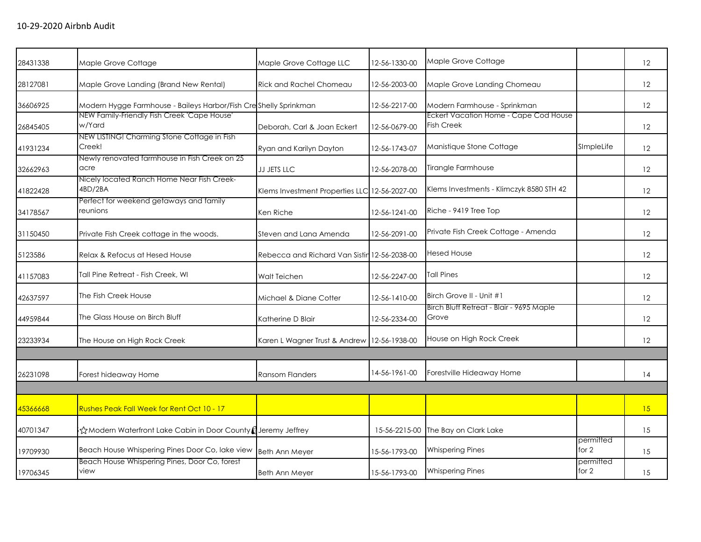| 28431338 | Maple Grove Cottage                                               | Maple Grove Cottage LLC                       | 12-56-1330-00 | Maple Grove Cottage                                        |                      | 12 |
|----------|-------------------------------------------------------------------|-----------------------------------------------|---------------|------------------------------------------------------------|----------------------|----|
| 28127081 | Maple Grove Landing (Brand New Rental)                            | Rick and Rachel Chomeau                       | 12-56-2003-00 | Maple Grove Landing Chomeau                                |                      | 12 |
| 36606925 | Modern Hygge Farmhouse - Baileys Harbor/Fish Cresshelly Sprinkman |                                               | 12-56-2217-00 | Modern Farmhouse - Sprinkman                               |                      | 12 |
| 26845405 | NEW Family-Friendly Fish Creek 'Cape House'<br>w/Yard             | Deborah, Carl & Joan Eckert                   | 12-56-0679-00 | Eckert Vacation Home - Cape Cod House<br><b>Fish Creek</b> |                      | 12 |
| 41931234 | NEW LISTING! Charming Stone Cottage in Fish<br>Creek!             | Ryan and Karilyn Dayton                       | 12-56-1743-07 | Manistique Stone Cottage                                   | SImpleLife           | 12 |
| 32662963 | Newly renovated farmhouse in Fish Creek on 25<br>acre             | JJ JETS LLC                                   | 12-56-2078-00 | Tirangle Farmhouse                                         |                      | 12 |
| 41822428 | Nicely located Ranch Home Near Fish Creek-<br>4BD/2BA             | Klems Investment Properties LLC 12-56-2027-00 |               | Klems Investments - Klimczyk 8580 STH 42                   |                      | 12 |
| 34178567 | Perfect for weekend getaways and family<br>reunions               | Ken Riche                                     | 12-56-1241-00 | Riche - 9419 Tree Top                                      |                      | 12 |
| 31150450 | Private Fish Creek cottage in the woods.                          | Steven and Lana Amenda                        | 12-56-2091-00 | Private Fish Creek Cottage - Amenda                        |                      | 12 |
| 5123586  | Relax & Refocus at Hesed House                                    | Rebecca and Richard Van Sistin 12-56-2038-00  |               | <b>Hesed House</b>                                         |                      | 12 |
| 41157083 | Tall Pine Retreat - Fish Creek, WI                                | Walt Teichen                                  | 12-56-2247-00 | <b>Tall Pines</b>                                          |                      | 12 |
| 42637597 | The Fish Creek House                                              | Michael & Diane Cotter                        | 12-56-1410-00 | Birch Grove II - Unit #1                                   |                      | 12 |
| 44959844 | The Glass House on Birch Bluff                                    | Katherine D Blair                             | 12-56-2334-00 | Birch Bluff Retreat - Blair - 9695 Maple<br>Grove          |                      | 12 |
| 23233934 | The House on High Rock Creek                                      | Karen L Wagner Trust & Andrew                 | 12-56-1938-00 | House on High Rock Creek                                   |                      | 12 |
|          |                                                                   |                                               |               |                                                            |                      |    |
| 26231098 | Forest hideaway Home                                              | <b>Ransom Flanders</b>                        | 14-56-1961-00 | Forestville Hideaway Home                                  |                      | 14 |
|          |                                                                   |                                               |               |                                                            |                      |    |
| 45366668 | Rushes Peak Fall Week for Rent Oct 10 - 17                        |                                               |               |                                                            |                      | 15 |
| 40701347 | i☆Modern Waterfront Lake Cabin in Door County (Jeremy Jeffrey     |                                               | 15-56-2215-00 | The Bay on Clark Lake                                      |                      | 15 |
| 19709930 | Beach House Whispering Pines Door Co, lake view                   | <b>Beth Ann Meyer</b>                         | 15-56-1793-00 | <b>Whispering Pines</b>                                    | permitted<br>for $2$ | 15 |
| 19706345 | Beach House Whispering Pines, Door Co, forest<br>view             | <b>Beth Ann Meyer</b>                         | 15-56-1793-00 | <b>Whispering Pines</b>                                    | permitted<br>for 2   | 15 |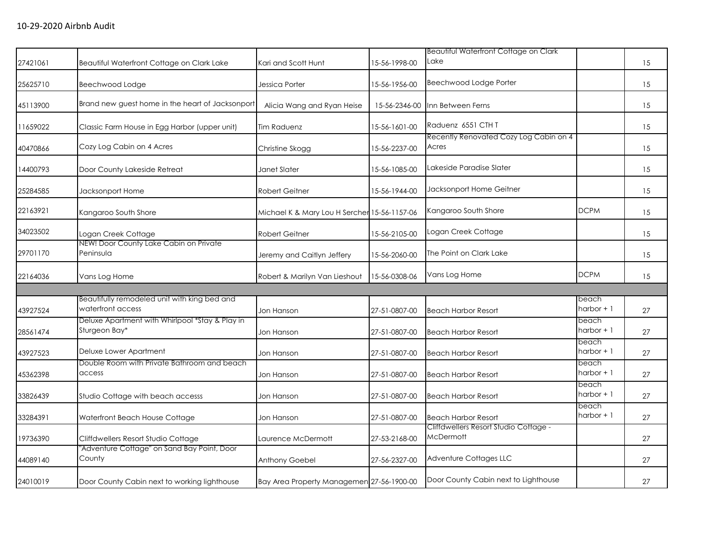|                                                                   |                                        |               | <b>Beautiful Waterfront Cottage on Clark</b>                                              |                                        |    |
|-------------------------------------------------------------------|----------------------------------------|---------------|-------------------------------------------------------------------------------------------|----------------------------------------|----|
| Beautiful Waterfront Cottage on Clark Lake                        | Kari and Scott Hunt                    | 15-56-1998-00 | Lake                                                                                      |                                        | 15 |
| Beechwood Lodge                                                   | Jessica Porter                         | 15-56-1956-00 | Beechwood Lodge Porter                                                                    |                                        | 15 |
| Brand new guest home in the heart of Jacksonport                  | Alicia Wang and Ryan Heise             | 15-56-2346-00 | Inn Between Ferns                                                                         |                                        | 15 |
| Classic Farm House in Egg Harbor (upper unit)                     | <b>Tim Raduenz</b>                     | 15-56-1601-00 | Raduenz 6551 CTH T                                                                        |                                        | 15 |
| Cozy Log Cabin on 4 Acres                                         | Christine Skogg                        | 15-56-2237-00 | Acres                                                                                     |                                        | 15 |
| Door County Lakeside Retreat                                      | Janet Slater                           | 15-56-1085-00 | Lakeside Paradise Slater                                                                  |                                        | 15 |
| Jacksonport Home                                                  | <b>Robert Geitner</b>                  | 15-56-1944-00 | Jacksonport Home Geitner                                                                  |                                        | 15 |
| Kangaroo South Shore                                              |                                        |               | Kangaroo South Shore                                                                      | <b>DCPM</b>                            | 15 |
| Logan Creek Cottage                                               | <b>Robert Geitner</b>                  | 15-56-2105-00 | Logan Creek Cottage                                                                       |                                        | 15 |
| Peninsula                                                         | Jeremy and Caitlyn Jeffery             | 15-56-2060-00 | The Point on Clark Lake                                                                   |                                        | 15 |
| Vans Log Home                                                     | Robert & Marilyn Van Lieshout          | 15-56-0308-06 | Vans Log Home                                                                             | <b>DCPM</b>                            | 15 |
|                                                                   |                                        |               |                                                                                           |                                        |    |
| Beautifully remodeled unit with king bed and<br>waterfront access | Jon Hanson                             | 27-51-0807-00 | <b>Beach Harbor Resort</b>                                                                | beach<br>harbor + 1                    | 27 |
| Deluxe Apartment with Whirlpool *Stay & Play in<br>Sturgeon Bay*  | Jon Hanson                             | 27-51-0807-00 | <b>Beach Harbor Resort</b>                                                                | beach<br>$harbor + 1$                  | 27 |
| Deluxe Lower Apartment                                            | Jon Hanson                             | 27-51-0807-00 | <b>Beach Harbor Resort</b>                                                                | beach<br>harbor + 1                    | 27 |
| Double Room with Private Bathroom and beach<br>access             | Jon Hanson                             | 27-51-0807-00 | <b>Beach Harbor Resort</b>                                                                | beach<br>harbor + 1                    | 27 |
| Studio Cottage with beach accesss                                 | Jon Hanson                             | 27-51-0807-00 | <b>Beach Harbor Resort</b>                                                                | beach<br>harbor + 1                    | 27 |
| Waterfront Beach House Cottage                                    | Jon Hanson                             | 27-51-0807-00 | <b>Beach Harbor Resort</b>                                                                | beach<br>harbor + 1                    | 27 |
| Cliffdwellers Resort Studio Cottage                               | Laurence McDermott                     | 27-53-2168-00 | Cliffdwellers Resort Studio Cottage -<br><b>McDermott</b>                                 |                                        | 27 |
| "Adventure Cottage" on Sand Bay Point, Door<br>County             | Anthony Goebel                         | 27-56-2327-00 | Adventure Cottages LLC                                                                    |                                        | 27 |
| Door County Cabin next to working lighthouse                      |                                        |               | Door County Cabin next to Lighthouse                                                      |                                        | 27 |
|                                                                   | NEW! Door County Lake Cabin on Private |               | Michael K & Mary Lou H Sercher 15-56-1157-06<br>Bay Area Property Managemen 27-56-1900-00 | Recently Renovated Cozy Log Cabin on 4 |    |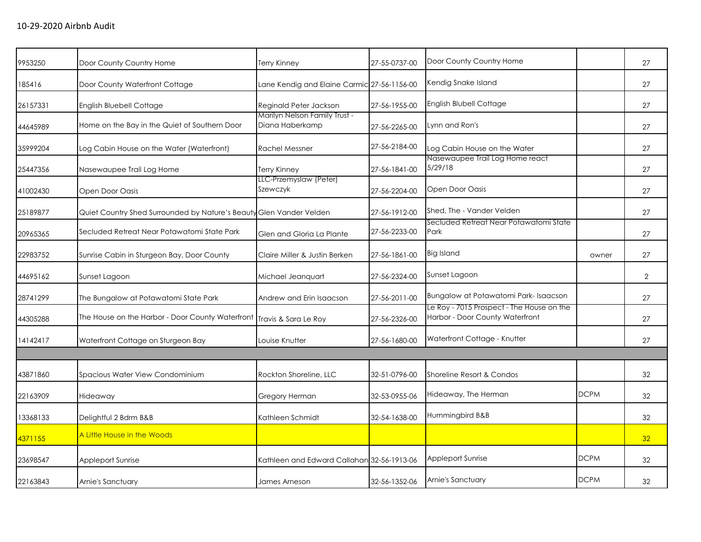| 9953250  | Door County Country Home                                            | Terry Kinney                                     | 27-55-0737-00 | Door County Country Home                                                     |             | 27              |
|----------|---------------------------------------------------------------------|--------------------------------------------------|---------------|------------------------------------------------------------------------------|-------------|-----------------|
| 185416   | Door County Waterfront Cottage                                      | Lane Kendig and Elaine Carmic 27-56-1156-00      |               | Kendig Snake Island                                                          |             | 27              |
| 26157331 | <b>English Bluebell Cottage</b>                                     | Reginald Peter Jackson                           | 27-56-1955-00 | English Blubell Cottage                                                      |             | 27              |
| 44645989 | Home on the Bay in the Quiet of Southern Door                       | Marilyn Nelson Family Trust -<br>Diana Haberkamp | 27-56-2265-00 | Lynn and Ron's                                                               |             | 27              |
| 35999204 | Log Cabin House on the Water (Waterfront)                           | <b>Rachel Messner</b>                            | 27-56-2184-00 | Log Cabin House on the Water                                                 |             | 27              |
| 25447356 | Nasewaupee Trail Log Home                                           | Terry Kinney                                     | 27-56-1841-00 | Nasewaupee Trail Log Home react<br>5/29/18                                   |             | 27              |
| 41002430 | Open Door Oasis                                                     | LLC-Przemyslaw (Peter)<br>Szewczyk               | 27-56-2204-00 | Open Door Oasis                                                              |             | 27              |
| 25189877 | Quiet Country Shed Surrounded by Nature's Beauty Glen Vander Velden |                                                  | 27-56-1912-00 | Shed, The - Vander Velden                                                    |             | 27              |
| 20965365 | Secluded Retreat Near Potawatomi State Park                         | Glen and Gloria La Plante                        | 27-56-2233-00 | Secluded Retreat Near Potawatomi State<br>Park                               |             | 27              |
| 22983752 | Sunrise Cabin in Sturgeon Bay, Door County                          | Claire Miller & Justin Berken                    | 27-56-1861-00 | Big Island                                                                   | owner       | 27              |
| 44695162 | Sunset Lagoon                                                       | Michael Jeanguart                                | 27-56-2324-00 | Sunset Lagoon                                                                |             | $\overline{2}$  |
| 28741299 | The Bungalow at Potawatomi State Park                               | Andrew and Erin Isaacson                         | 27-56-2011-00 | Bungalow at Potawatomi Park-Isaacson                                         |             | 27              |
| 44305288 | The House on the Harbor - Door County Waterfront                    | Travis & Sara Le Roy                             | 27-56-2326-00 | Le Roy - 7015 Prospect - The House on the<br>Harbor - Door County Waterfront |             | 27              |
| 14142417 | Waterfront Cottage on Sturgeon Bay                                  | Louise Knutter                                   | 27-56-1680-00 | Waterfront Cottage - Knutter                                                 |             | 27              |
|          |                                                                     |                                                  |               |                                                                              |             |                 |
| 43871860 | Spacious Water View Condominium                                     | Rockton Shoreline, LLC                           | 32-51-0796-00 | Shoreline Resort & Condos                                                    |             | 32              |
| 22163909 | Hideaway                                                            | Gregory Herman                                   | 32-53-0955-06 | Hideaway, The Herman                                                         | <b>DCPM</b> | 32              |
| 13368133 | Delightful 2 Bdrm B&B                                               | Kathleen Schmidt                                 | 32-54-1638-00 | Hummingbird B&B                                                              |             | 32              |
| 4371155  | A Little House in the Woods                                         |                                                  |               |                                                                              |             | 32 <sup>°</sup> |
| 23698547 | Appleport Sunrise                                                   | Kathleen and Edward Callahan 32-56-1913-06       |               | Appleport Sunrise                                                            | <b>DCPM</b> | 32              |
| 22163843 | Arnie's Sanctuary                                                   | James Arneson                                    | 32-56-1352-06 | Arnie's Sanctuary                                                            | <b>DCPM</b> | 32              |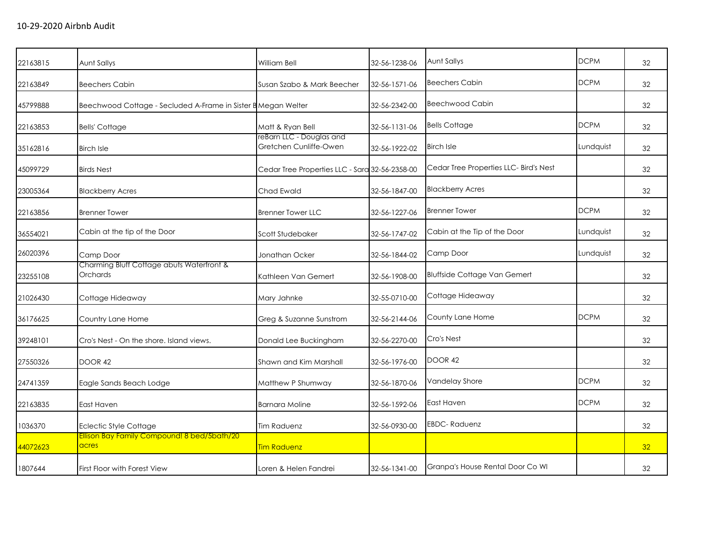|          |                                                               |                                                    |               | Aunt Sallys                            | <b>DCPM</b> |    |
|----------|---------------------------------------------------------------|----------------------------------------------------|---------------|----------------------------------------|-------------|----|
| 22163815 | Aunt Sallys                                                   | <b>William Bell</b>                                | 32-56-1238-06 |                                        |             | 32 |
| 22163849 | <b>Beechers Cabin</b>                                         | Susan Szabo & Mark Beecher                         | 32-56-1571-06 | <b>Beechers Cabin</b>                  | <b>DCPM</b> | 32 |
| 45799888 | Beechwood Cottage - Secluded A-Frame in Sister B Megan Welter |                                                    | 32-56-2342-00 | <b>Beechwood Cabin</b>                 |             | 32 |
| 22163853 | <b>Bells' Cottage</b>                                         | Matt & Ryan Bell                                   | 32-56-1131-06 | <b>Bells Cottage</b>                   | <b>DCPM</b> | 32 |
| 35162816 | <b>Birch Isle</b>                                             | reBarn LLC - Douglas and<br>Gretchen Cunliffe-Owen | 32-56-1922-02 | <b>Birch Isle</b>                      | Lundquist   | 32 |
| 45099729 | <b>Birds Nest</b>                                             | Cedar Tree Properties LLC - Sara 32-56-2358-00     |               | Cedar Tree Properties LLC- Bird's Nest |             | 32 |
| 23005364 | <b>Blackberry Acres</b>                                       | Chad Ewald                                         | 32-56-1847-00 | <b>Blackberry Acres</b>                |             | 32 |
| 22163856 | <b>Brenner Tower</b>                                          | <b>Brenner Tower LLC</b>                           | 32-56-1227-06 | <b>Brenner Tower</b>                   | <b>DCPM</b> | 32 |
| 36554021 | Cabin at the tip of the Door                                  | Scott Studebaker                                   | 32-56-1747-02 | Cabin at the Tip of the Door           | Lundquist   | 32 |
| 26020396 | Camp Door                                                     | Jonathan Ocker                                     | 32-56-1844-02 | Camp Door                              | Lundquist   | 32 |
| 23255108 | Charming Bluff Cottage abuts Waterfront &<br>Orchards         | Kathleen Van Gemert                                | 32-56-1908-00 | <b>Bluffside Cottage Van Gemert</b>    |             | 32 |
| 21026430 | Cottage Hideaway                                              | Mary Jahnke                                        | 32-55-0710-00 | Cottage Hideaway                       |             | 32 |
| 36176625 | Country Lane Home                                             | Greg & Suzanne Sunstrom                            | 32-56-2144-06 | County Lane Home                       | <b>DCPM</b> | 32 |
| 39248101 | Cro's Nest - On the shore, Island views.                      | Donald Lee Buckingham                              | 32-56-2270-00 | Cro's Nest                             |             | 32 |
| 27550326 | DOOR 42                                                       | Shawn and Kim Marshall                             | 32-56-1976-00 | DOOR 42                                |             | 32 |
| 24741359 | Eagle Sands Beach Lodge                                       | Matthew P Shumway                                  | 32-56-1870-06 | Vandelay Shore                         | <b>DCPM</b> | 32 |
| 22163835 | East Haven                                                    | <b>Barnara Moline</b>                              | 32-56-1592-06 | East Haven                             | <b>DCPM</b> | 32 |
| 1036370  | <b>Eclectic Style Cottage</b>                                 | <b>Tim Raduenz</b>                                 | 32-56-0930-00 | <b>EBDC-Raduenz</b>                    |             | 32 |
| 44072623 | Ellison Bay Family Compound! 8 bed/5bath/20<br>acres          | <b>Tim Raduenz</b>                                 |               |                                        |             | 32 |
| 1807644  | First Floor with Forest View                                  | Loren & Helen Fandrei                              | 32-56-1341-00 | Granpa's House Rental Door Co WI       |             | 32 |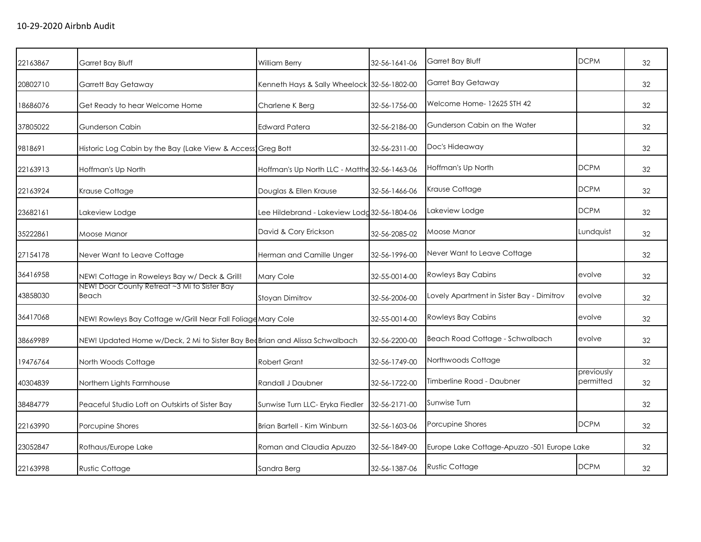| 22163867 | Garret Bay Bluff                                                            | William Berry                                 | 32-56-1641-06 | Garret Bay Bluff                            | <b>DCPM</b>             | 32 |
|----------|-----------------------------------------------------------------------------|-----------------------------------------------|---------------|---------------------------------------------|-------------------------|----|
| 20802710 | Garrett Bay Getaway                                                         | Kenneth Hays & Sally Wheelock 32-56-1802-00   |               | Garret Bay Getaway                          |                         | 32 |
| 18686076 | Get Ready to hear Welcome Home                                              | Charlene K Berg                               | 32-56-1756-00 | Welcome Home-12625 STH 42                   |                         | 32 |
| 37805022 | Gunderson Cabin                                                             | <b>Edward Patera</b>                          | 32-56-2186-00 | Gunderson Cabin on the Water                |                         | 32 |
| 9818691  | Historic Log Cabin by the Bay (Lake View & Access Greg Bott                 |                                               | 32-56-2311-00 | Doc's Hideaway                              |                         | 32 |
| 22163913 | Hoffman's Up North                                                          | Hoffman's Up North LLC - Matthe 32-56-1463-06 |               | Hoffman's Up North                          | <b>DCPM</b>             | 32 |
| 22163924 | Krause Cottage                                                              | Douglas & Ellen Krause                        | 32-56-1466-06 | Krause Cottage                              | <b>DCPM</b>             | 32 |
| 23682161 | Lakeview Lodge                                                              | Lee Hildebrand - Lakeview Lodg 32-56-1804-06  |               | Lakeview Lodge                              | <b>DCPM</b>             | 32 |
| 35222861 | Moose Manor                                                                 | David & Cory Erickson                         | 32-56-2085-02 | Moose Manor                                 | Lundquist               | 32 |
| 27154178 | Never Want to Leave Cottage                                                 | Herman and Camille Unger                      | 32-56-1996-00 | Never Want to Leave Cottage                 |                         | 32 |
| 36416958 | NEW! Cottage in Roweleys Bay w/ Deck & Grill!                               | Mary Cole                                     | 32-55-0014-00 | <b>Rowleys Bay Cabins</b>                   | evolve                  | 32 |
| 43858030 | NEW! Door County Retreat ~3 Mi to Sister Bay<br>Beach                       | Stoyan Dimitrov                               | 32-56-2006-00 | Lovely Apartment in Sister Bay - Dimitrov   | evolve                  | 32 |
| 36417068 | NEW! Rowleys Bay Cottage w/Grill Near Fall Foliage Mary Cole                |                                               | 32-55-0014-00 | Rowleys Bay Cabins                          | evolve                  | 32 |
| 38669989 | NEW! Updated Home w/Deck, 2 Mi to Sister Bay BeoBrian and Alissa Schwalbach |                                               | 32-56-2200-00 | Beach Road Cottage - Schwalbach             | evolve                  | 32 |
| 19476764 | North Woods Cottage                                                         | <b>Robert Grant</b>                           | 32-56-1749-00 | Northwoods Cottage                          |                         | 32 |
| 40304839 | Northern Lights Farmhouse                                                   | Randall J Daubner                             | 32-56-1722-00 | Timberline Road - Daubner                   | previously<br>permitted | 32 |
| 38484779 | Peaceful Studio Loft on Outskirts of Sister Bay                             | Sunwise Turn LLC- Eryka Fiedler               | 32-56-2171-00 | Sunwise Turn                                |                         | 32 |
| 22163990 | Porcupine Shores                                                            | Brian Bartell - Kim Winburn                   | 32-56-1603-06 | Porcupine Shores                            | <b>DCPM</b>             | 32 |
| 23052847 | Rothaus/Europe Lake                                                         | Roman and Claudia Apuzzo                      | 32-56-1849-00 | Europe Lake Cottage-Apuzzo -501 Europe Lake |                         | 32 |
| 22163998 | <b>Rustic Cottage</b>                                                       | Sandra Berg                                   | 32-56-1387-06 | <b>Rustic Cottage</b>                       | <b>DCPM</b>             | 32 |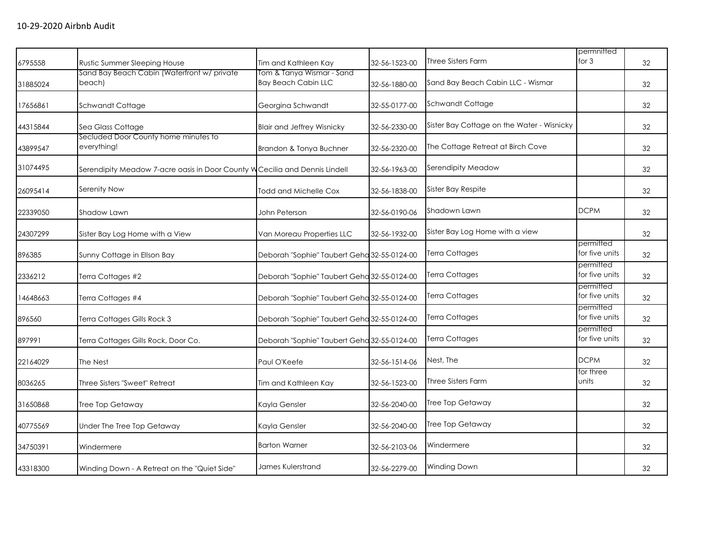| 6795558  | Rustic Summer Sleeping House                                                | Tim and Kathleen Kay                                    | 32-56-1523-00 | Three Sisters Farm                         | permnitted<br>for $3$       | 32 |
|----------|-----------------------------------------------------------------------------|---------------------------------------------------------|---------------|--------------------------------------------|-----------------------------|----|
| 31885024 | Sand Bay Beach Cabin (Waterfront w/ private<br>beach)                       | Tom & Tanya Wismar - Sand<br><b>Bay Beach Cabin LLC</b> | 32-56-1880-00 | Sand Bay Beach Cabin LLC - Wismar          |                             | 32 |
| 17656861 | Schwandt Cottage                                                            | Georgina Schwandt                                       | 32-55-0177-00 | Schwandt Cottage                           |                             | 32 |
| 44315844 | Sea Glass Cottage                                                           | <b>Blair and Jeffrey Wisnicky</b>                       | 32-56-2330-00 | Sister Bay Cottage on the Water - Wisnicky |                             | 32 |
| 43899547 | Secluded Door County home minutes to<br>everything!                         | Brandon & Tonya Buchner                                 | 32-56-2320-00 | The Cottage Retreat at Birch Cove          |                             | 32 |
| 31074495 | Serendipity Meadow 7-acre oasis in Door County W Cecilia and Dennis Lindell |                                                         | 32-56-1963-00 | Serendipity Meadow                         |                             | 32 |
| 26095414 | Serenity Now                                                                | Todd and Michelle Cox                                   | 32-56-1838-00 | Sister Bay Respite                         |                             | 32 |
| 22339050 | Shadow Lawn                                                                 | John Peterson                                           | 32-56-0190-06 | Shadown Lawn                               | <b>DCPM</b>                 | 32 |
| 24307299 | Sister Bay Log Home with a View                                             | Van Moreau Properties LLC                               | 32-56-1932-00 | Sister Bay Log Home with a view            |                             | 32 |
| 896385   | Sunny Cottage in Ellson Bay                                                 | Deborah "Sophie" Taubert Geha 32-55-0124-00             |               | Terra Cottages                             | permitted<br>for five units | 32 |
| 2336212  | Terra Cottages #2                                                           | Deborah "Sophie" Taubert Geha 32-55-0124-00             |               | Terra Cottages                             | permitted<br>for five units | 32 |
| 14648663 | Terra Cottages #4                                                           | Deborah "Sophie" Taubert Geha 32-55-0124-00             |               | Terra Cottages                             | permitted<br>for five units | 32 |
| 896560   | Terra Cottages Gills Rock 3                                                 | Deborah "Sophie" Taubert Geha 32-55-0124-00             |               | Terra Cottages                             | permitted<br>for five units | 32 |
| 897991   | Terra Cottages Gills Rock, Door Co.                                         | Deborah "Sophie" Taubert Geha 32-55-0124-00             |               | Terra Cottages                             | permitted<br>for five units | 32 |
| 22164029 | The Nest                                                                    | Paul O'Keefe                                            | 32-56-1514-06 | Nest, The                                  | <b>DCPM</b>                 | 32 |
| 8036265  | Three Sisters "Sweet" Retreat                                               | Tim and Kathleen Kay                                    | 32-56-1523-00 | <b>Three Sisters Farm</b>                  | for three<br>units          | 32 |
| 31650868 | Tree Top Getaway                                                            | Kayla Gensler                                           | 32-56-2040-00 | Tree Top Getaway                           |                             | 32 |
| 40775569 | Under The Tree Top Getaway                                                  | Kayla Gensler                                           | 32-56-2040-00 | Tree Top Getaway                           |                             | 32 |
| 34750391 | Windermere                                                                  | <b>Barton Warner</b>                                    | 32-56-2103-06 | Windermere                                 |                             | 32 |
| 43318300 | Winding Down - A Retreat on the "Quiet Side"                                | James Kulerstrand                                       | 32-56-2279-00 | <b>Winding Down</b>                        |                             | 32 |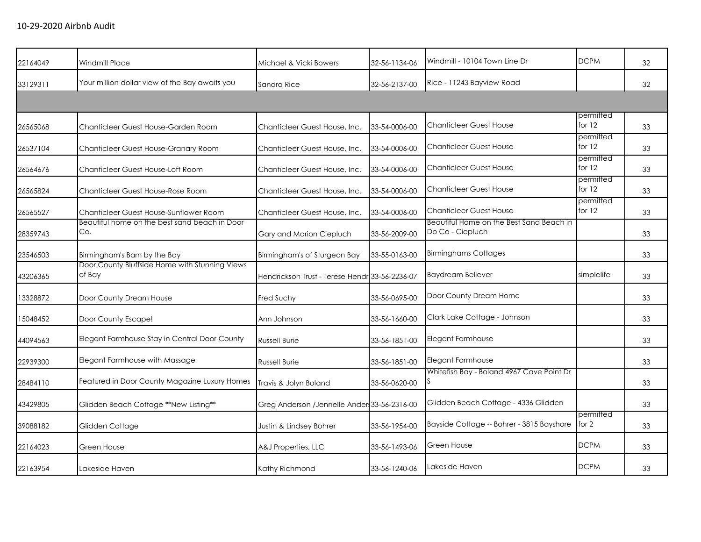| 22164049 | Windmill Place                                           | Michael & Vicki Bowers                         | 32-56-1134-06 | Windmill - 10104 Town Line Dr                                | <b>DCPM</b>           | 32 |
|----------|----------------------------------------------------------|------------------------------------------------|---------------|--------------------------------------------------------------|-----------------------|----|
| 33129311 | Your million dollar view of the Bay awaits you           | Sandra Rice                                    | 32-56-2137-00 | Rice - 11243 Bayview Road                                    |                       | 32 |
|          |                                                          |                                                |               |                                                              |                       |    |
| 26565068 | Chanticleer Guest House-Garden Room                      | Chanticleer Guest House, Inc.                  | 33-54-0006-00 | <b>Chanticleer Guest House</b>                               | permitted<br>for $12$ | 33 |
| 26537104 | Chanticleer Guest House-Granary Room                     | Chanticleer Guest House, Inc.                  | 33-54-0006-00 | <b>Chanticleer Guest House</b>                               | permitted<br>for $12$ | 33 |
| 26564676 | Chanticleer Guest House-Loft Room                        | Chanticleer Guest House, Inc.                  | 33-54-0006-00 | <b>Chanticleer Guest House</b>                               | permitted<br>for $12$ | 33 |
| 26565824 | Chanticleer Guest House-Rose Room                        | Chanticleer Guest House, Inc.                  | 33-54-0006-00 | <b>Chanticleer Guest House</b>                               | permitted<br>for $12$ | 33 |
| 26565527 | Chanticleer Guest House-Sunflower Room                   | Chanticleer Guest House, Inc.                  | 33-54-0006-00 | <b>Chanticleer Guest House</b>                               | permitted<br>for 12   | 33 |
| 28359743 | Beautiful home on the best sand beach in Door<br>Co.     | Gary and Marion Ciepluch                       | 33-56-2009-00 | Beautiful Home on the Best Sand Beach in<br>Do Co - Ciepluch |                       | 33 |
| 23546503 | Birmingham's Barn by the Bay                             | Birmingham's of Sturgeon Bay                   | 33-55-0163-00 | <b>Birminghams Cottages</b>                                  |                       | 33 |
| 43206365 | Door County Bluffside Home with Stunning Views<br>of Bay | Hendrickson Trust - Terese Hendr 33-56-2236-07 |               | <b>Baydream Believer</b>                                     | simplelife            | 33 |
| 13328872 | Door County Dream House                                  | Fred Suchy                                     | 33-56-0695-00 | Door County Dream Home                                       |                       | 33 |
| 15048452 | Door County Escape!                                      | Ann Johnson                                    | 33-56-1660-00 | Clark Lake Cottage - Johnson                                 |                       | 33 |
| 44094563 | Elegant Farmhouse Stay in Central Door County            | <b>Russell Burie</b>                           | 33-56-1851-00 | Elegant Farmhouse                                            |                       | 33 |
| 22939300 | Elegant Farmhouse with Massage                           | <b>Russell Burie</b>                           | 33-56-1851-00 | <b>Elegant Farmhouse</b>                                     |                       | 33 |
| 28484110 | Featured in Door County Magazine Luxury Homes            | Travis & Jolyn Boland                          | 33-56-0620-00 | Whitefish Bay - Boland 4967 Cave Point Dr                    |                       | 33 |
| 43429805 | Glidden Beach Cottage **New Listing**                    | Greg Anderson / Jennelle Ander 33-56-2316-00   |               | Glidden Beach Cottage - 4336 Glidden                         |                       | 33 |
| 39088182 | Glidden Cottage                                          | Justin & Lindsey Bohrer                        | 33-56-1954-00 | Bayside Cottage -- Bohrer - 3815 Bayshore                    | permitted<br>for 2    | 33 |
| 22164023 | Green House                                              | A&J Properties, LLC                            | 33-56-1493-06 | Green House                                                  | <b>DCPM</b>           | 33 |
| 22163954 | Lakeside Haven                                           | Kathy Richmond                                 | 33-56-1240-06 | Lakeside Haven                                               | <b>DCPM</b>           | 33 |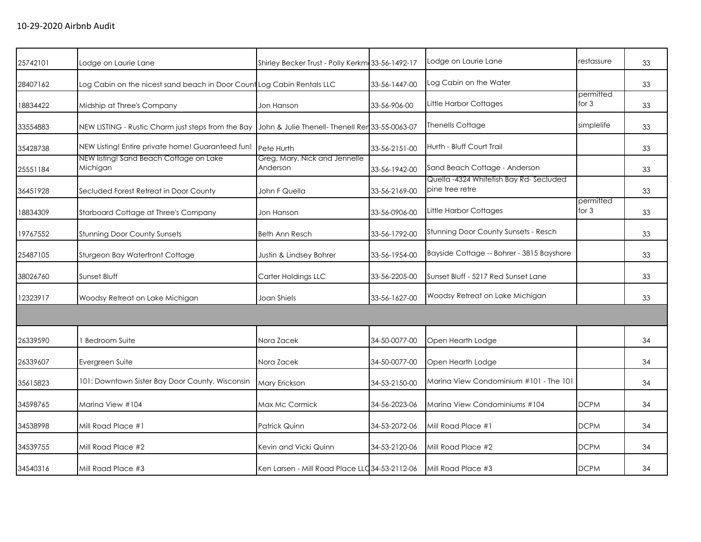| 25742101 | Lodge on Laurie Lane                                                                               | Shirley Becker Trust - Polly Kerkm 33-56-1492-17 |               | Lodge on Laurie Lane                                      | restassure           | 33 |
|----------|----------------------------------------------------------------------------------------------------|--------------------------------------------------|---------------|-----------------------------------------------------------|----------------------|----|
| 28407162 | Log Cabin on the nicest sand beach in Door Count Log Cabin Rentals LLC                             |                                                  | 33-56-1447-00 | Log Cabin on the Water                                    |                      | 33 |
| 18834422 | Midship at Three's Company                                                                         | Jon Hanson                                       | 33-56-906-00  | Little Harbor Cottages                                    | permitted<br>for $3$ | 33 |
| 33554883 | NEW LISTING - Rustic Charm just steps from the Bay John & Julie Thenell- Thenell Ren 33-55-0063-07 |                                                  |               | <b>Thenells Cottage</b>                                   | simplelife           | 33 |
| 35428738 | NEW Listing! Entire private home! Guaranteed fun!                                                  | Pete Hurth                                       | 33-56-2151-00 | Hurth - Bluff Court Trail                                 |                      | 33 |
| 25551184 | NEW listing! Sand Beach Cottage on Lake<br>Michigan                                                | Greg, Mary, Nick and Jennelle<br>Anderson        | 33-56-1942-00 | Sand Beach Cottage - Anderson                             |                      | 33 |
| 36451928 | Secluded Forest Retreat in Door County                                                             | John F Quella                                    | 33-56-2169-00 | Quella -4324 Whitefish Bay Rd-Secluded<br>pine tree retre |                      | 33 |
| 18834309 | Starboard Cottage at Three's Company                                                               | Jon Hanson                                       | 33-56-0906-00 | Little Harbor Cottages                                    | permitted<br>for $3$ | 33 |
| 19767552 | <b>Stunning Door County Sunsets</b>                                                                | <b>Beth Ann Resch</b>                            | 33-56-1792-00 | Stunning Door County Sunsets - Resch                      |                      | 33 |
| 25487105 | Sturgeon Bay Waterfront Cottage                                                                    | Justin & Lindsey Bohrer                          | 33-56-1954-00 | Bayside Cottage -- Bohrer - 3815 Bayshore                 |                      | 33 |
| 38026760 | Sunset Bluff                                                                                       | Carter Holdings LLC                              | 33-56-2205-00 | Sunset Bluff - 5217 Red Sunset Lane                       |                      | 33 |
| 12323917 | Woodsy Retreat on Lake Michigan                                                                    | Joan Shiels                                      | 33-56-1627-00 | Woodsy Retreat on Lake Michigan                           |                      | 33 |
|          |                                                                                                    |                                                  |               |                                                           |                      |    |
| 26339590 | <b>Bedroom Suite</b>                                                                               | Nora Zacek                                       | 34-50-0077-00 | Open Hearth Lodge                                         |                      | 34 |
| 26339607 | Evergreen Suite                                                                                    | Nora Zacek                                       | 34-50-0077-00 | Open Hearth Lodge                                         |                      | 34 |
| 35615823 | 101: Downtown Sister Bay Door County, Wisconsin                                                    | Mary Erickson                                    | 34-53-2150-00 | Marina View Condominium #101 - The 101                    |                      | 34 |
| 34598765 | Marina View #104                                                                                   | Max Mc Cormick                                   | 34-56-2023-06 | Marina View Condominiums #104                             | <b>DCPM</b>          | 34 |
| 34538998 | Mill Road Place #1                                                                                 | Patrick Quinn                                    | 34-53-2072-06 | Mill Road Place #1                                        | <b>DCPM</b>          | 34 |
| 34539755 | Mill Road Place #2                                                                                 | Kevin and Vicki Quinn                            | 34-53-2120-06 | Mill Road Place #2                                        | <b>DCPM</b>          | 34 |
| 34540316 | Mill Road Place #3                                                                                 | Ken Larsen - Mill Road Place LLC 34-53-2112-06   |               | Mill Road Place #3                                        | <b>DCPM</b>          | 34 |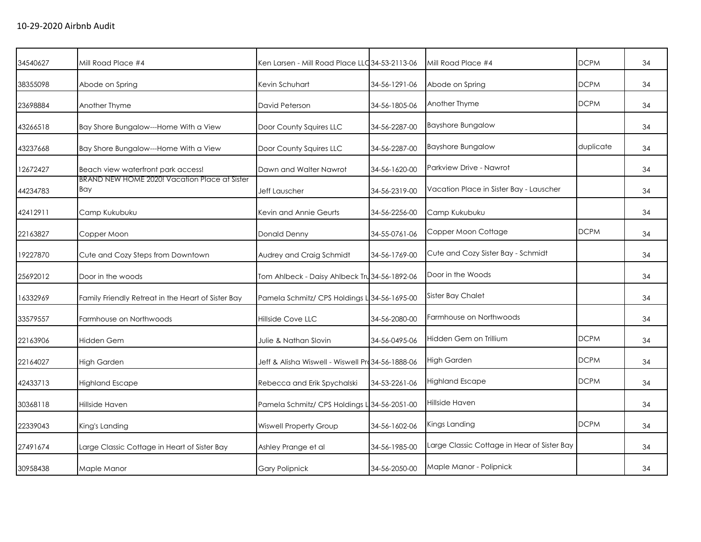| 34540627 | Mill Road Place #4                                   | Ken Larsen - Mill Road Place LLC 34-53-2113-06    |               | Mill Road Place #4                          | <b>DCPM</b> | 34 |
|----------|------------------------------------------------------|---------------------------------------------------|---------------|---------------------------------------------|-------------|----|
| 38355098 | Abode on Spring                                      | Kevin Schuhart                                    | 34-56-1291-06 | Abode on Spring                             | <b>DCPM</b> | 34 |
| 23698884 | Another Thyme                                        | David Peterson                                    | 34-56-1805-06 | Another Thyme                               | <b>DCPM</b> | 34 |
| 43266518 | Bay Shore Bungalow---Home With a View                | Door County Squires LLC                           | 34-56-2287-00 | <b>Bayshore Bungalow</b>                    |             | 34 |
| 43237668 | Bay Shore Bungalow---Home With a View                | Door County Squires LLC                           | 34-56-2287-00 | <b>Bayshore Bungalow</b>                    | duplicate   | 34 |
| 12672427 | Beach view waterfront park access!                   | Dawn and Walter Nawrot                            | 34-56-1620-00 | Parkview Drive - Nawrot                     |             | 34 |
| 44234783 | BRAND NEW HOME 2020! Vacation Place at Sister<br>Bay | Jeff Lauscher                                     | 34-56-2319-00 | Vacation Place in Sister Bay - Lauscher     |             | 34 |
| 42412911 | Camp Kukubuku                                        | Kevin and Annie Geurts                            | 34-56-2256-00 | Camp Kukubuku                               |             | 34 |
| 22163827 | Copper Moon                                          | <b>Donald Denny</b>                               | 34-55-0761-06 | Copper Moon Cottage                         | <b>DCPM</b> | 34 |
| 19227870 | Cute and Cozy Steps from Downtown                    | Audrey and Craig Schmidt                          | 34-56-1769-00 | Cute and Cozy Sister Bay - Schmidt          |             | 34 |
| 25692012 | Door in the woods                                    | Tom Ahlbeck - Daisy Ahlbeck Tru 34-56-1892-06     |               | Door in the Woods                           |             | 34 |
| 16332969 | Family Friendly Retreat in the Heart of Sister Bay   | Pamela Schmitz/ CPS Holdings L 34-56-1695-00      |               | <b>Sister Bay Chalet</b>                    |             | 34 |
| 33579557 | Farmhouse on Northwoods                              | Hillside Cove LLC                                 | 34-56-2080-00 | Farmhouse on Northwoods                     |             | 34 |
| 22163906 | Hidden Gem                                           | Julie & Nathan Slovin                             | 34-56-0495-06 | Hidden Gem on Trillium                      | <b>DCPM</b> | 34 |
| 22164027 | <b>High Garden</b>                                   | Jeff & Alisha Wiswell - Wiswell Pro 34-56-1888-06 |               | <b>High Garden</b>                          | <b>DCPM</b> | 34 |
| 42433713 | <b>Highland Escape</b>                               | Rebecca and Erik Spychalski                       | 34-53-2261-06 | <b>Highland Escape</b>                      | <b>DCPM</b> | 34 |
| 30368118 | Hillside Haven                                       | Pamela Schmitz/ CPS Holdings L 34-56-2051-00      |               | Hillside Haven                              |             | 34 |
| 22339043 | King's Landing                                       | <b>Wiswell Property Group</b>                     | 34-56-1602-06 | Kings Landing                               | <b>DCPM</b> | 34 |
| 27491674 | Large Classic Cottage in Heart of Sister Bay         | Ashley Prange et al                               | 34-56-1985-00 | Large Classic Cottage in Hear of Sister Bay |             | 34 |
| 30958438 | Maple Manor                                          | <b>Gary Polipnick</b>                             | 34-56-2050-00 | Maple Manor - Polipnick                     |             | 34 |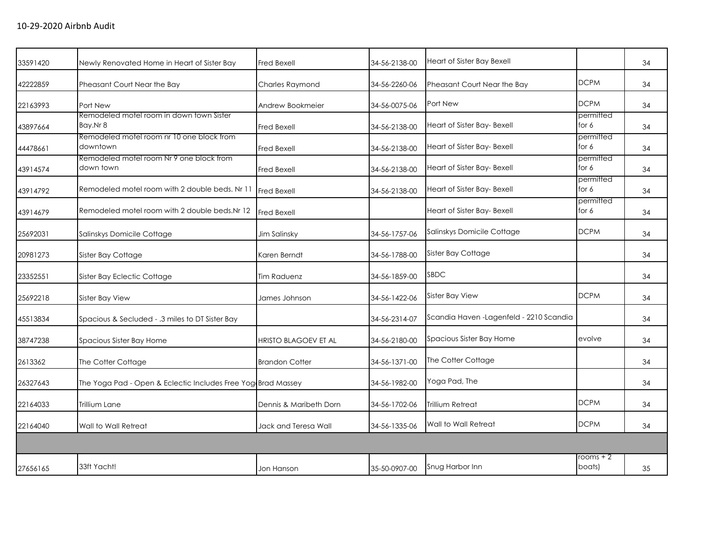| Newly Renovated Home in Heart of Sister Bay           | <b>Fred Bexell</b>                        | 34-56-2138-00                                                | Heart of Sister Bay Bexell               |                      | 34 |
|-------------------------------------------------------|-------------------------------------------|--------------------------------------------------------------|------------------------------------------|----------------------|----|
| Pheasant Court Near the Bay                           | Charles Raymond                           | 34-56-2260-06                                                | Pheasant Court Near the Bay              | <b>DCPM</b>          | 34 |
| Port New                                              | Andrew Bookmeier                          | 34-56-0075-06                                                | Port New                                 | <b>DCPM</b>          | 34 |
| Remodeled motel room in down town Sister<br>Bay.Nr 8  | Fred Bexell                               | 34-56-2138-00                                                | Heart of Sister Bay- Bexell              | permitted<br>for 6   | 34 |
| downtown                                              | Fred Bexell                               | 34-56-2138-00                                                | Heart of Sister Bay- Bexell              | permitted<br>for 6   | 34 |
| Remodeled motel room Nr 9 one block from<br>down town | Fred Bexell                               | 34-56-2138-00                                                | Heart of Sister Bay- Bexell              | permitted<br>for 6   | 34 |
| Remodeled motel room with 2 double beds. Nr 11        | <b>Fred Bexell</b>                        | 34-56-2138-00                                                | Heart of Sister Bay- Bexell              | permitted<br>for 6   | 34 |
| Remodeled motel room with 2 double beds. Nr 12        | <b>Fred Bexell</b>                        |                                                              | Heart of Sister Bay- Bexell              | permitted<br>for 6   | 34 |
| Salinskys Domicile Cottage                            | Jim Salinsky                              | 34-56-1757-06                                                | Salinskys Domicile Cottage               | <b>DCPM</b>          | 34 |
| Sister Bay Cottage                                    | Karen Berndt                              | 34-56-1788-00                                                | Sister Bay Cottage                       |                      | 34 |
| Sister Bay Eclectic Cottage                           | <b>Tim Raduenz</b>                        | 34-56-1859-00                                                | <b>SBDC</b>                              |                      | 34 |
| Sister Bay View                                       | James Johnson                             | 34-56-1422-06                                                | <b>Sister Bay View</b>                   | <b>DCPM</b>          | 34 |
| Spacious & Secluded - .3 miles to DT Sister Bay       |                                           | 34-56-2314-07                                                | Scandia Haven - Lagenfeld - 2210 Scandia |                      | 34 |
| Spacious Sister Bay Home                              | HRISTO BLAGOEV ET AL                      | 34-56-2180-00                                                | Spacious Sister Bay Home                 | evolve               | 34 |
| The Cotter Cottage                                    | <b>Brandon Cotter</b>                     | 34-56-1371-00                                                | The Cotter Cottage                       |                      | 34 |
|                                                       |                                           | 34-56-1982-00                                                | Yoga Pad, The                            |                      | 34 |
| Trillium Lane                                         | Dennis & Maribeth Dorn                    | 34-56-1702-06                                                | Trillium Retreat                         | <b>DCPM</b>          | 34 |
| Wall to Wall Retreat                                  | Jack and Teresa Wall                      | 34-56-1335-06                                                | Wall to Wall Retreat                     | <b>DCPM</b>          | 34 |
|                                                       |                                           |                                                              |                                          |                      |    |
| 33ft Yacht!                                           | Jon Hanson                                | 35-50-0907-00                                                | Snug Harbor Inn                          | rooms $+2$<br>boats) | 35 |
|                                                       | Remodeled motel room nr 10 one block from | The Yoga Pad - Open & Eclectic Includes Free Yog Brad Massey |                                          |                      |    |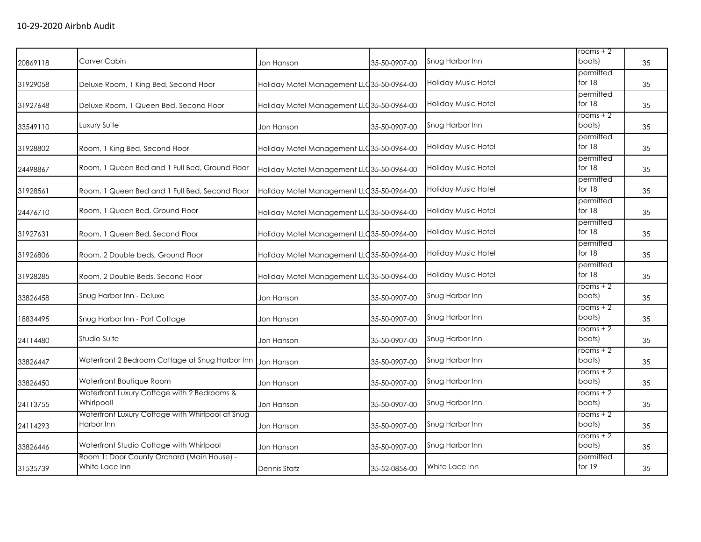| 20869118 | Carver Cabin                                                   | Jon Hanson                                 | 35-50-0907-00 | Snug Harbor Inn            | rooms + 2<br>boats)      | 35 |
|----------|----------------------------------------------------------------|--------------------------------------------|---------------|----------------------------|--------------------------|----|
| 31929058 | Deluxe Room, 1 King Bed, Second Floor                          | Holiday Motel Management LLC 35-50-0964-00 |               | <b>Holiday Music Hotel</b> | permitted<br>for 18      | 35 |
| 31927648 | Deluxe Room, 1 Queen Bed, Second Floor                         | Holiday Motel Management LLC 35-50-0964-00 |               | Holiday Music Hotel        | permitted<br>for 18      | 35 |
| 33549110 | Luxury Suite                                                   | Jon Hanson                                 | 35-50-0907-00 | Snug Harbor Inn            | rooms + 2<br>boats)      | 35 |
| 31928802 | Room, 1 King Bed, Second Floor                                 | Holiday Motel Management LLC 35-50-0964-00 |               | <b>Holiday Music Hotel</b> | permitted<br>for $18$    | 35 |
| 24498867 | Room, 1 Queen Bed and 1 Full Bed, Ground Floor                 | Holiday Motel Management LLC 35-50-0964-00 |               | Holiday Music Hotel        | permitted<br>for $18$    | 35 |
| 31928561 | Room, 1 Queen Bed and 1 Full Bed, Second Floor                 | Holiday Motel Management LLC 35-50-0964-00 |               | Holiday Music Hotel        | permitted<br>for $18$    | 35 |
| 24476710 | Room, 1 Queen Bed, Ground Floor                                | Holiday Motel Management LLC 35-50-0964-00 |               | Holiday Music Hotel        | permitted<br>for $18$    | 35 |
| 31927631 | Room, 1 Queen Bed, Second Floor                                | Holiday Motel Management LLC 35-50-0964-00 |               | Holiday Music Hotel        | permitted<br>for 18      | 35 |
| 31926806 | Room, 2 Double beds, Ground Floor                              | Holiday Motel Management LLC 35-50-0964-00 |               | <b>Holiday Music Hotel</b> | permitted<br>for 18      | 35 |
| 31928285 | Room, 2 Double Beds, Second Floor                              | Holiday Motel Management LLC 35-50-0964-00 |               | <b>Holiday Music Hotel</b> | permitted<br>for 18      | 35 |
| 33826458 | Snug Harbor Inn - Deluxe                                       | Jon Hanson                                 | 35-50-0907-00 | Snug Harbor Inn            | $rooms + 2$<br>boats)    | 35 |
| 18834495 | Snug Harbor Inn - Port Cottage                                 | Jon Hanson                                 | 35-50-0907-00 | Snug Harbor Inn            | $r$ ooms + $2$<br>boats) | 35 |
| 24114480 | Studio Suite                                                   | Jon Hanson                                 | 35-50-0907-00 | Snug Harbor Inn            | rooms + 2<br>boats)      | 35 |
| 33826447 | Waterfront 2 Bedroom Cottage at Snug Harbor Inn                | Jon Hanson                                 | 35-50-0907-00 | Snug Harbor Inn            | $rooms + 2$<br>boats)    | 35 |
| 33826450 | Waterfront Boutique Room                                       | Jon Hanson                                 | 35-50-0907-00 | Snug Harbor Inn            | rooms + 2<br>boats)      | 35 |
| 24113755 | Waterfront Luxury Cottage with 2 Bedrooms &<br>Whirlpool!      | Jon Hanson                                 | 35-50-0907-00 | Snug Harbor Inn            | rooms + 2<br>boats)      | 35 |
| 24114293 | Waterfront Luxury Cottage with Whirlpool at Snug<br>Harbor Inn | Jon Hanson                                 | 35-50-0907-00 | Snug Harbor Inn            | $rooms + 2$<br>boats)    | 35 |
| 33826446 | Waterfront Studio Cottage with Whirlpool                       | Jon Hanson                                 | 35-50-0907-00 | Snug Harbor Inn            | rooms + 2<br>boats)      | 35 |
| 31535739 | Room 1: Door County Orchard (Main House) -<br>White Lace Inn   | Dennis Statz                               | 35-52-0856-00 | White Lace Inn             | permitted<br>for 19      | 35 |
|          |                                                                |                                            |               |                            |                          |    |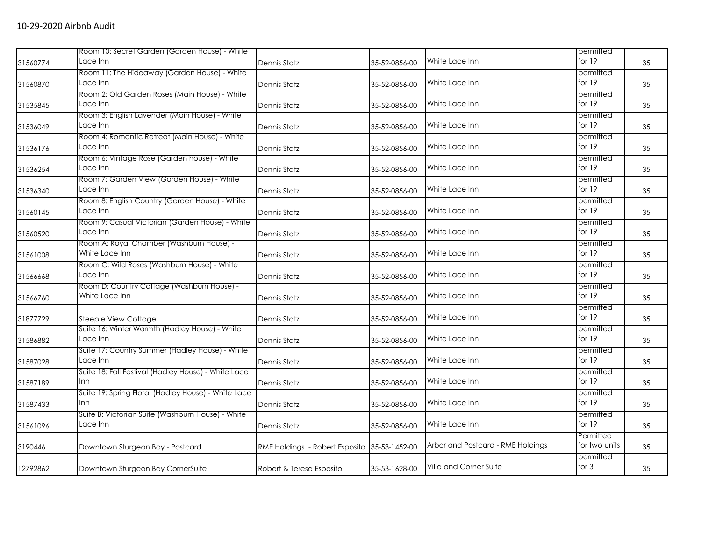|          | Room 10: Secret Garden (Garden House) - White                 |                                              |               |                                   | permitted                  |    |
|----------|---------------------------------------------------------------|----------------------------------------------|---------------|-----------------------------------|----------------------------|----|
| 31560774 | Lace Inn                                                      | Dennis Statz                                 | 35-52-0856-00 | White Lace Inn                    | for 19                     | 35 |
| 31560870 | Room 11: The Hideaway (Garden House) - White<br>Lace Inn      | Dennis Statz                                 | 35-52-0856-00 | White Lace Inn                    | permitted<br>for 19        | 35 |
| 31535845 | Room 2: Old Garden Roses (Main House) - White<br>Lace Inn     | Dennis Statz                                 | 35-52-0856-00 | White Lace Inn                    | permitted<br>for 19        | 35 |
| 31536049 | Room 3: English Lavender (Main House) - White<br>Lace Inn     | Dennis Statz                                 | 35-52-0856-00 | White Lace Inn                    | permitted<br>for 19        | 35 |
| 31536176 | Room 4: Romantic Retreat (Main House) - White<br>Lace Inn     | Dennis Statz                                 | 35-52-0856-00 | White Lace Inn                    | permitted<br>for 19        | 35 |
| 31536254 | Room 6: Vintage Rose (Garden house) - White<br>Lace Inn       | Dennis Statz                                 | 35-52-0856-00 | White Lace Inn                    | permitted<br>for 19        | 35 |
| 31536340 | Room 7: Garden View (Garden House) - White<br>Lace Inn        | Dennis Statz                                 | 35-52-0856-00 | White Lace Inn                    | permitted<br>for 19        | 35 |
| 31560145 | Room 8: English Country (Garden House) - White<br>Lace Inn    | Dennis Statz                                 | 35-52-0856-00 | White Lace Inn                    | permitted<br>for 19        | 35 |
| 31560520 | Room 9: Casual Victorian (Garden House) - White<br>Lace Inn   | <b>Dennis Statz</b>                          | 35-52-0856-00 | White Lace Inn                    | permitted<br>for 19        | 35 |
| 31561008 | Room A: Royal Chamber (Washburn House) -<br>White Lace Inn    | Dennis Statz                                 | 35-52-0856-00 | White Lace Inn                    | permitted<br>for 19        | 35 |
| 31566668 | Room C: Wild Roses (Washburn House) - White<br>Lace Inn       | Dennis Statz                                 | 35-52-0856-00 | White Lace Inn                    | permitted<br>for 19        | 35 |
| 31566760 | Room D: Country Cottage (Washburn House) -<br>White Lace Inn  | Dennis Statz                                 | 35-52-0856-00 | White Lace Inn                    | permitted<br>for $19$      | 35 |
| 31877729 | Steeple View Cottage                                          | Dennis Statz                                 | 35-52-0856-00 | White Lace Inn                    | permitted<br>for 19        | 35 |
| 31586882 | Suite 16: Winter Warmth (Hadley House) - White<br>Lace Inn    | Dennis Statz                                 | 35-52-0856-00 | White Lace Inn                    | permitted<br>for 19        | 35 |
| 31587028 | Suite 17: Country Summer (Hadley House) - White<br>Lace Inn   | Dennis Statz                                 | 35-52-0856-00 | White Lace Inn                    | permitted<br>for $19$      | 35 |
| 31587189 | Suite 18: Fall Festival (Hadley House) - White Lace<br>Inn    | Dennis Statz                                 | 35-52-0856-00 | White Lace Inn                    | permitted<br>for 19        | 35 |
| 31587433 | Suite 19: Spring Floral (Hadley House) - White Lace<br>Inn    | Dennis Statz                                 | 35-52-0856-00 | White Lace Inn                    | permitted<br>for 19        | 35 |
| 31561096 | Suite B: Victorian Suite (Washburn House) - White<br>Lace Inn | Dennis Statz                                 | 35-52-0856-00 | White Lace Inn                    | permitted<br>for 19        | 35 |
| 3190446  | Downtown Sturgeon Bay - Postcard                              | RME Holdings - Robert Esposito 35-53-1452-00 |               | Arbor and Postcard - RME Holdings | Permitted<br>for two units | 35 |
| 12792862 | Downtown Sturgeon Bay CornerSuite                             | Robert & Teresa Esposito                     | 35-53-1628-00 | Villa and Corner Suite            | permitted<br>for $3$       | 35 |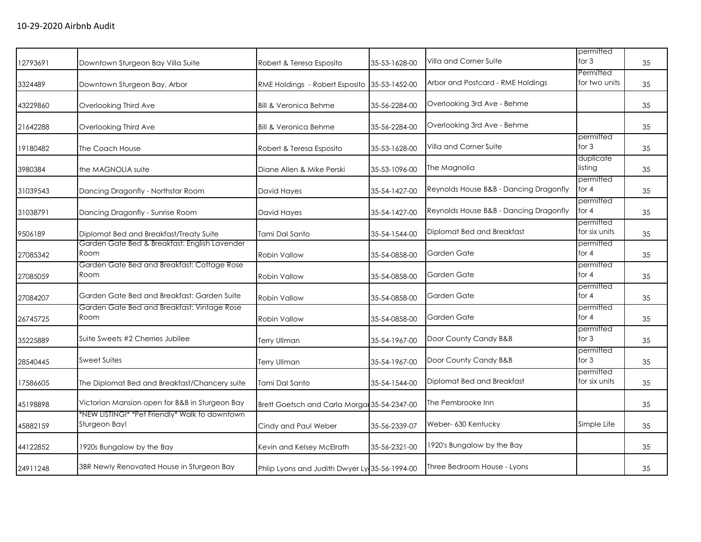|          |                                                                 |                                               |               |                                        | permitted                  |    |
|----------|-----------------------------------------------------------------|-----------------------------------------------|---------------|----------------------------------------|----------------------------|----|
| 12793691 | Downtown Sturgeon Bay Villa Suite                               | Robert & Teresa Esposito                      | 35-53-1628-00 | Villa and Corner Suite                 | for $3$                    | 35 |
| 3324489  | Downtown Sturgeon Bay, Arbor                                    | RME Holdings - Robert Esposito                | 35-53-1452-00 | Arbor and Postcard - RME Holdings      | Permitted<br>for two units | 35 |
| 43229860 | Overlooking Third Ave                                           | <b>Bill &amp; Veronica Behme</b>              | 35-56-2284-00 | Overlooking 3rd Ave - Behme            |                            | 35 |
| 21642288 | Overlooking Third Ave                                           | <b>Bill &amp; Veronica Behme</b>              | 35-56-2284-00 | Overlooking 3rd Ave - Behme            |                            | 35 |
| 19180482 | The Coach House                                                 | Robert & Teresa Esposito                      | 35-53-1628-00 | Villa and Corner Suite                 | permitted<br>for $3$       | 35 |
| 3980384  | the MAGNOLIA suite                                              | Diane Allen & Mike Perski                     | 35-53-1096-00 | The Magnolia                           | duplicate<br>listing       | 35 |
| 31039543 | Dancing Dragonfly - Northstar Room                              | David Hayes                                   | 35-54-1427-00 | Reynolds House B&B - Dancing Dragonfly | permitted<br>for $4$       | 35 |
| 31038791 | Dancing Dragonfly - Sunrise Room                                | David Hayes                                   | 35-54-1427-00 | Reynolds House B&B - Dancing Dragonfly | permitted<br>for $4$       | 35 |
| 9506189  | Diplomat Bed and Breakfast/Treaty Suite                         | Tami Dal Santo                                | 35-54-1544-00 | Diplomat Bed and Breakfast             | permitted<br>for six units | 35 |
| 27085342 | Garden Gate Bed & Breakfast: English Lavender<br>Room           | <b>Robin Vallow</b>                           | 35-54-0858-00 | Garden Gate                            | permitted<br>for $4$       | 35 |
| 27085059 | Garden Gate Bed and Breakfast: Cottage Rose<br>Room             | <b>Robin Vallow</b>                           | 35-54-0858-00 | Garden Gate                            | permitted<br>for 4         | 35 |
| 27084207 | Garden Gate Bed and Breakfast: Garden Suite                     | <b>Robin Vallow</b>                           | 35-54-0858-00 | Garden Gate                            | permitted<br>for $4$       | 35 |
| 26745725 | Garden Gate Bed and Breakfast: Vintage Rose<br>Room             | Robin Vallow                                  | 35-54-0858-00 | Garden Gate                            | permitted<br>for $4$       | 35 |
| 35225889 | Suite Sweets #2 Cherries Jubilee                                | Terry Ullman                                  | 35-54-1967-00 | Door County Candy B&B                  | permitted<br>for $3$       | 35 |
| 28540445 | <b>Sweet Suites</b>                                             | <b>Terry Ullman</b>                           | 35-54-1967-00 | Door County Candy B&B                  | permitted<br>for $3$       | 35 |
| 17586605 | The Diplomat Bed and Breakfast/Chancery suite                   | Tami Dal Santo                                | 35-54-1544-00 | Diplomat Bed and Breakfast             | permitted<br>for six units | 35 |
| 45198898 | Victorian Mansion open for B&B in Sturgeon Bay                  | Brett Goetsch and Carla Morgal 35-54-2347-00  |               | The Pembrooke Inn                      |                            | 35 |
| 45882159 | *NEW LISTING!* *Pet Friendly* Walk to downtown<br>Sturgeon Bay! | Cindy and Paul Weber                          | 35-56-2339-07 | Weber- 630 Kentucky                    | Simple Life                | 35 |
| 44122852 | 1920s Bungalow by the Bay                                       | Kevin and Kelsey McElrath                     | 35-56-2321-00 | 1920's Bungalow by the Bay             |                            | 35 |
| 24911248 | 3BR Newly Renovated House in Sturgeon Bay                       | Phlip Lyons and Judith Dwyer Ly 35-56-1994-00 |               | Three Bedroom House - Lyons            |                            | 35 |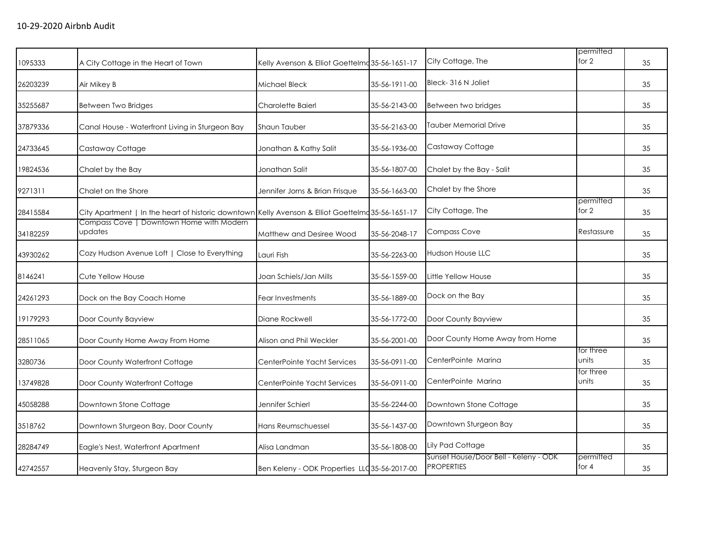| 1095333  | A City Cottage in the Heart of Town                                                               | Kelly Avenson & Elliot Goettelmo 35-56-1651-17 |               | City Cottage, The                                          | permitted<br>for 2   | 35 |
|----------|---------------------------------------------------------------------------------------------------|------------------------------------------------|---------------|------------------------------------------------------------|----------------------|----|
| 26203239 | Air Mikey B                                                                                       | Michael Bleck                                  | 35-56-1911-00 | Bleck-316 N Joliet                                         |                      | 35 |
| 35255687 | Between Two Bridges                                                                               | Charolette Baierl                              | 35-56-2143-00 | Between two bridges                                        |                      | 35 |
| 37879336 | Canal House - Waterfront Living in Sturgeon Bay                                                   | Shaun Tauber                                   | 35-56-2163-00 | Tauber Memorial Drive                                      |                      | 35 |
| 24733645 | Castaway Cottage                                                                                  | Jonathan & Kathy Salit                         | 35-56-1936-00 | Castaway Cottage                                           |                      | 35 |
| 19824536 | Chalet by the Bay                                                                                 | Jonathan Salit                                 | 35-56-1807-00 | Chalet by the Bay - Salit                                  |                      | 35 |
| 9271311  | Chalet on the Shore                                                                               | Jennifer Jorns & Brian Frisque                 | 35-56-1663-00 | Chalet by the Shore                                        |                      | 35 |
| 28415584 | City Apartment   In the heart of historic downtown Kelly Avenson & Elliot Goettelma 35-56-1651-17 |                                                |               | City Cottage, The                                          | permitted<br>for 2   | 35 |
| 34182259 | Compass Cove   Downtown Home with Modern<br>updates                                               | Matthew and Desiree Wood                       | 35-56-2048-17 | <b>Compass Cove</b>                                        | Restassure           | 35 |
| 43930262 | Cozy Hudson Avenue Loft   Close to Everything                                                     | Lauri Fish                                     | 35-56-2263-00 | <b>Hudson House LLC</b>                                    |                      | 35 |
| 8146241  | Cute Yellow House                                                                                 | Joan Schiels/Jan Mills                         | 35-56-1559-00 | Little Yellow House                                        |                      | 35 |
| 24261293 | Dock on the Bay Coach Home                                                                        | Fear Investments                               | 35-56-1889-00 | Dock on the Bay                                            |                      | 35 |
| 19179293 | Door County Bayview                                                                               | Diane Rockwell                                 | 35-56-1772-00 | Door County Bayview                                        |                      | 35 |
| 28511065 | Door County Home Away From Home                                                                   | Alison and Phil Weckler                        | 35-56-2001-00 | Door County Home Away from Home                            |                      | 35 |
| 3280736  | Door County Waterfront Cottage                                                                    | CenterPointe Yacht Services                    | 35-56-0911-00 | CenterPointe Marina                                        | for three<br>units   | 35 |
| 13749828 | Door County Waterfront Cottage                                                                    | CenterPointe Yacht Services                    | 35-56-0911-00 | CenterPointe Marina                                        | for three<br>units   | 35 |
| 45058288 | Downtown Stone Cottage                                                                            | Jennifer Schierl                               | 35-56-2244-00 | Downtown Stone Cottage                                     |                      | 35 |
| 3518762  | Downtown Sturgeon Bay, Door County                                                                | Hans Reumschuessel                             | 35-56-1437-00 | Downtown Sturgeon Bay                                      |                      | 35 |
| 28284749 | Eagle's Nest, Waterfront Apartment                                                                | Alisa Landman                                  | 35-56-1808-00 | Lily Pad Cottage                                           |                      | 35 |
| 42742557 | Heavenly Stay, Sturgeon Bay                                                                       | Ben Keleny - ODK Properties LLC 35-56-2017-00  |               | Sunset House/Door Bell - Keleny - ODK<br><b>PROPERTIES</b> | permitted<br>for $4$ | 35 |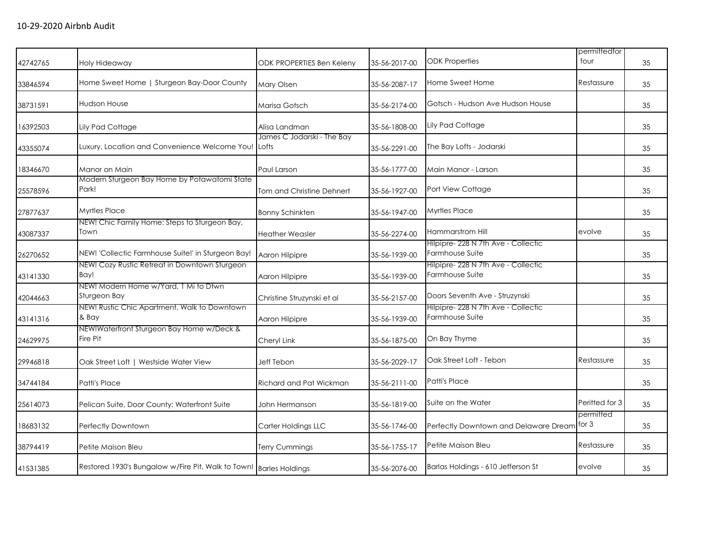| 42742765 | Holy Hideaway                                                        | ODK PROPERTIES Ben Keleny           | 35-56-2017-00 | <b>ODK Properties</b>                                  | permittedfor<br>four | 35 |
|----------|----------------------------------------------------------------------|-------------------------------------|---------------|--------------------------------------------------------|----------------------|----|
| 33846594 | Home Sweet Home   Sturgeon Bay-Door County                           | Mary Olsen                          | 35-56-2087-17 | Home Sweet Home                                        | Restassure           | 35 |
| 38731591 | <b>Hudson House</b>                                                  | Marisa Gotsch                       | 35-56-2174-00 | Gotsch - Hudson Ave Hudson House                       |                      | 35 |
| 16392503 | Lily Pad Cottage                                                     | Alisa Landman                       | 35-56-1808-00 | <b>Lily Pad Cottage</b>                                |                      | 35 |
| 43355074 | Luxury, Location and Convenience Welcome You!                        | James C Jodarski - The Bay<br>Lofts | 35-56-2291-00 | The Bay Lofts - Jodarski                               |                      | 35 |
| 18346670 | Manor on Main                                                        | Paul Larson                         | 35-56-1777-00 | Main Manor - Larson                                    |                      | 35 |
| 25578596 | Modern Sturgeon Bay Home by Potawatomi State<br>Park!                | <b>Tom and Christine Dehnert</b>    | 35-56-1927-00 | Port View Cottage                                      |                      | 35 |
| 27877637 | <b>Myrtles Place</b>                                                 | <b>Bonny Schinkten</b>              | 35-56-1947-00 | <b>Myrtles Place</b>                                   |                      | 35 |
| 43087337 | NEW! Chic Family Home: Steps to Sturgeon Bay,<br>Town                | <b>Heather Weasler</b>              | 35-56-2274-00 | <b>Hammarstrom Hill</b>                                | evolve               | 35 |
| 26270652 | NEW! 'Collectic Farmhouse Suite!' in Sturgeon Bay!                   | Aaron Hilpipre                      | 35-56-1939-00 | Hilpipre- 228 N 7th Ave - Collectic<br>Farmhouse Suite |                      | 35 |
| 43141330 | NEW! Cozy Rustic Retreat in Downtown Sturgeon<br>Bay!                | Aaron Hilpipre                      | 35-56-1939-00 | Hilpipre- 228 N 7th Ave - Collectic<br>Farmhouse Suite |                      | 35 |
| 42044663 | NEW! Modern Home w/Yard, 1 Mi to Dtwn<br>Sturgeon Bay                | Christine Struzynski et al          | 35-56-2157-00 | Doors Seventh Ave - Struzynski                         |                      | 35 |
| 43141316 | NEW! Rustic Chic Apartment, Walk to Downtown<br>& Bay                | Aaron Hilpipre                      | 35-56-1939-00 | Hilpipre- 228 N 7th Ave - Collectic<br>Farmhouse Suite |                      | 35 |
| 24629975 | NEW!Waterfront Sturgeon Bay Home w/Deck &<br>Fire Pit                | Cheryl Link                         | 35-56-1875-00 | On Bay Thyme                                           |                      | 35 |
| 29946818 | Oak Street Loft   Westside Water View                                | Jeff Tebon                          | 35-56-2029-17 | Oak Street Loft - Tebon                                | Restassure           | 35 |
| 34744184 | Patti's Place                                                        | Richard and Pat Wickman             | 35-56-2111-00 | <b>Patti's Place</b>                                   |                      | 35 |
| 25614073 | Pelican Suite, Door County: Waterfront Suite                         | John Hermanson                      | 35-56-1819-00 | Suite on the Water                                     | Peritted for 3       | 35 |
| 18683132 | Perfectly Downtown                                                   | Carter Holdings LLC                 | 35-56-1746-00 | Perfectly Downtown and Delaware Dream for 3            | permitted            | 35 |
| 38794419 | Petite Maison Bleu                                                   | <b>Terry Cummings</b>               | 35-56-1755-17 | Petite Maison Bleu                                     | Restassure           | 35 |
| 41531385 | Restored 1930's Bungalow w/Fire Pit, Walk to Town!   Barles Holdings |                                     | 35-56-2076-00 | Barlas Holdings - 610 Jefferson St                     | evolve               | 35 |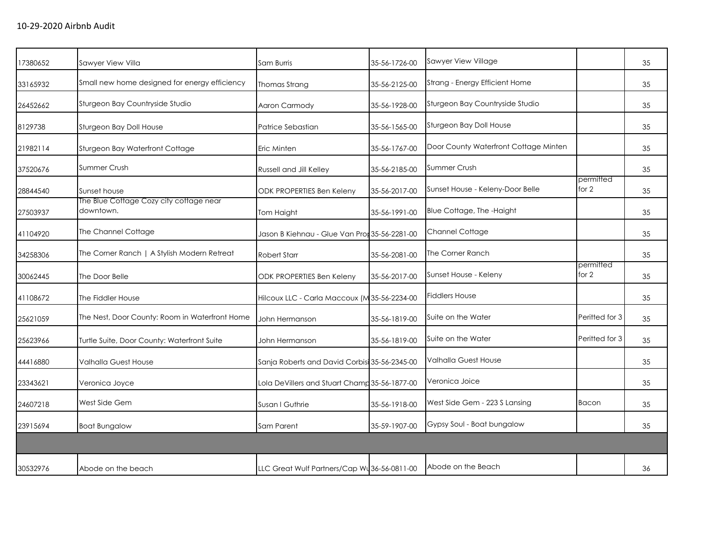| 17380652 | Sawyer View Villa                                    | Sam Burris                                    | 35-56-1726-00 | Sawyer View Village                   |                      | 35 |
|----------|------------------------------------------------------|-----------------------------------------------|---------------|---------------------------------------|----------------------|----|
| 33165932 | Small new home designed for energy efficiency        | Thomas Strang                                 | 35-56-2125-00 | Strang - Energy Efficient Home        |                      | 35 |
| 26452662 | Sturgeon Bay Countryside Studio                      | Aaron Carmody                                 | 35-56-1928-00 | Sturgeon Bay Countryside Studio       |                      | 35 |
| 8129738  | Sturgeon Bay Doll House                              | Patrice Sebastian                             | 35-56-1565-00 | Sturgeon Bay Doll House               |                      | 35 |
| 21982114 | Sturgeon Bay Waterfront Cottage                      | Eric Minten                                   | 35-56-1767-00 | Door County Waterfront Cottage Minten |                      | 35 |
| 37520676 | Summer Crush                                         | <b>Russell and Jill Kelley</b>                | 35-56-2185-00 | Summer Crush                          |                      | 35 |
| 28844540 | Sunset house                                         | ODK PROPERTIES Ben Keleny                     | 35-56-2017-00 | Sunset House - Keleny-Door Belle      | permitted<br>for $2$ | 35 |
| 27503937 | The Blue Cottage Cozy city cottage near<br>downtown. | Tom Haight                                    | 35-56-1991-00 | Blue Cottage, The -Haight             |                      | 35 |
| 41104920 | The Channel Cottage                                  | Jason B Kiehnau - Glue Van Pror 35-56-2281-00 |               | Channel Cottage                       |                      | 35 |
| 34258306 | The Corner Ranch   A Stylish Modern Retreat          | <b>Robert Starr</b>                           | 35-56-2081-00 | The Corner Ranch                      |                      | 35 |
| 30062445 | The Door Belle                                       | <b>ODK PROPERTIES Ben Keleny</b>              | 35-56-2017-00 | Sunset House - Keleny                 | permitted<br>for 2   | 35 |
| 41108672 | The Fiddler House                                    | Hilcoux LLC - Carla Maccoux (M 35-56-2234-00  |               | <b>Fiddlers House</b>                 |                      | 35 |
| 25621059 | The Nest, Door County: Room in Waterfront Home       | John Hermanson                                | 35-56-1819-00 | Suite on the Water                    | Periffed for 3       | 35 |
| 25623966 | Turtle Suite, Door County: Waterfront Suite          | John Hermanson                                | 35-56-1819-00 | Suite on the Water                    | Periffed for 3       | 35 |
| 44416880 | <b>Valhalla Guest House</b>                          | Sanja Roberts and David Corbisi 35-56-2345-00 |               | <b>Valhalla Guest House</b>           |                      | 35 |
| 23343621 | Veronica Joyce                                       | Lola DeVillers and Stuart Champ 35-56-1877-00 |               | Veronica Joice                        |                      | 35 |
| 24607218 | West Side Gem                                        | Susan I Guthrie                               | 35-56-1918-00 | West Side Gem - 223 S Lansing         | Bacon                | 35 |
| 23915694 | <b>Boat Bungalow</b>                                 | Sam Parent                                    | 35-59-1907-00 | Gypsy Soul - Boat bungalow            |                      | 35 |
|          |                                                      |                                               |               |                                       |                      |    |
| 30532976 | Abode on the beach                                   | LLC Great Wulf Partners/Cap Wu 36-56-0811-00  |               | Abode on the Beach                    |                      | 36 |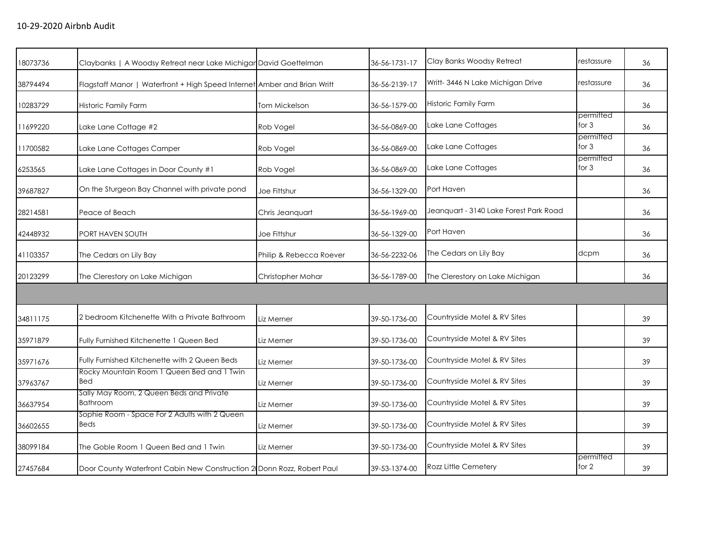| 18073736 | Claybanks   A Woodsy Retreat near Lake Michigar David Goettelman         |                         | 36-56-1731-17 | Clay Banks Woodsy Retreat              | restassure           | 36 |
|----------|--------------------------------------------------------------------------|-------------------------|---------------|----------------------------------------|----------------------|----|
| 38794494 | Flagstaff Manor   Waterfront + High Speed Internet Amber and Brian Writt |                         | 36-56-2139-17 | Writt- 3446 N Lake Michigan Drive      | restassure           | 36 |
| 10283729 | Historic Family Farm                                                     | <b>Tom Mickelson</b>    | 36-56-1579-00 | <b>Historic Family Farm</b>            |                      | 36 |
| 11699220 | Lake Lane Cottage #2                                                     | Rob Vogel               | 36-56-0869-00 | Lake Lane Cottages                     | permitted<br>for $3$ | 36 |
| 11700582 | Lake Lane Cottages Camper                                                | Rob Vogel               | 36-56-0869-00 | Lake Lane Cottages                     | permitted<br>for $3$ | 36 |
| 6253565  | Lake Lane Cottages in Door County #1                                     | Rob Vogel               | 36-56-0869-00 | Lake Lane Cottages                     | permitted<br>for 3   | 36 |
| 39687827 | On the Sturgeon Bay Channel with private pond                            | Joe Fittshur            | 36-56-1329-00 | Port Haven                             |                      | 36 |
| 28214581 | Peace of Beach                                                           | Chris Jeanquart         | 36-56-1969-00 | Jeanquart - 3140 Lake Forest Park Road |                      | 36 |
| 42448932 | PORT HAVEN SOUTH                                                         | Joe Fittshur            | 36-56-1329-00 | Port Haven                             |                      | 36 |
| 41103357 | The Cedars on Lily Bay                                                   | Philip & Rebecca Roever | 36-56-2232-06 | The Cedars on Lily Bay                 | dcpm                 | 36 |
| 20123299 | The Clerestory on Lake Michigan                                          | Christopher Mohar       | 36-56-1789-00 | The Clerestory on Lake Michigan        |                      | 36 |
|          |                                                                          |                         |               |                                        |                      |    |
| 34811175 | 2 bedroom Kitchenette With a Private Bathroom                            | Liz Merner              | 39-50-1736-00 | Countryside Motel & RV Sites           |                      | 39 |
| 35971879 | Fully Furnished Kitchenette 1 Queen Bed                                  | Liz Merner              | 39-50-1736-00 | Countryside Motel & RV Sites           |                      | 39 |
| 35971676 | Fully Furnished Kitchenette with 2 Queen Beds                            | Liz Merner              | 39-50-1736-00 | Countryside Motel & RV Sites           |                      | 39 |
| 37963767 | Rocky Mountain Room 1 Queen Bed and 1 Twin<br>Bed                        | Liz Merner              | 39-50-1736-00 | Countryside Motel & RV Sites           |                      | 39 |
| 36637954 | Sally May Room, 2 Queen Beds and Private<br><b>Bathroom</b>              | Liz Merner              | 39-50-1736-00 | Countryside Motel & RV Sites           |                      | 39 |
| 36602655 | Sophie Room - Space For 2 Adults with 2 Queen<br><b>Beds</b>             | Liz Merner              | 39-50-1736-00 | Countryside Motel & RV Sites           |                      | 39 |
| 38099184 | The Goble Room 1 Queen Bed and 1 Twin                                    | Liz Merner              | 39-50-1736-00 | Countryside Motel & RV Sites           |                      | 39 |
| 27457684 | Door County Waterfront Cabin New Construction 2 Donn Rozz, Robert Paul   |                         | 39-53-1374-00 | <b>Rozz Little Cemetery</b>            | permitted<br>for $2$ | 39 |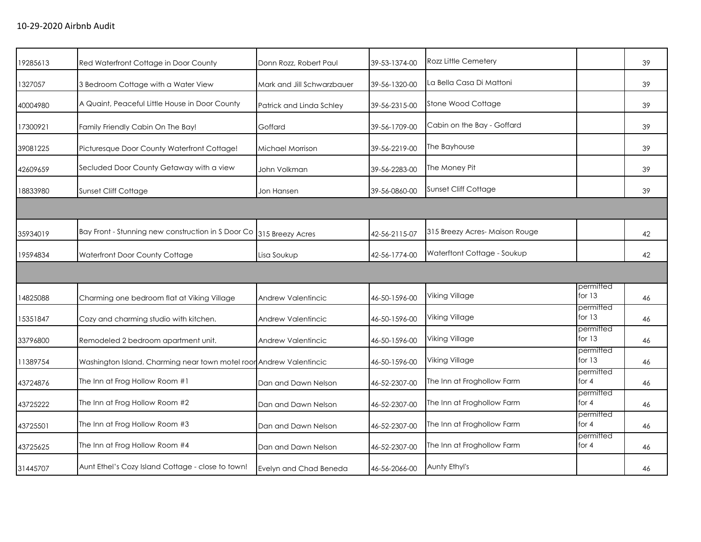| 19285613 | Red Waterfront Cottage in Door County                               | Donn Rozz, Robert Paul     | 39-53-1374-00 | <b>Rozz Little Cemetery</b>    |                       | 39 |
|----------|---------------------------------------------------------------------|----------------------------|---------------|--------------------------------|-----------------------|----|
| 1327057  | 3 Bedroom Cottage with a Water View                                 | Mark and Jill Schwarzbauer | 39-56-1320-00 | La Bella Casa Di Mattoni       |                       | 39 |
| 40004980 | A Quaint, Peaceful Little House in Door County                      | Patrick and Linda Schley   | 39-56-2315-00 | Stone Wood Cottage             |                       | 39 |
| 17300921 | Family Friendly Cabin On The Bay!                                   | Goffard                    | 39-56-1709-00 | Cabin on the Bay - Goffard     |                       | 39 |
| 39081225 | Picturesque Door County Waterfront Cottage!                         | Michael Morrison           | 39-56-2219-00 | The Bayhouse                   |                       | 39 |
| 42609659 | Secluded Door County Getaway with a view                            | John Volkman               | 39-56-2283-00 | The Money Pit                  |                       | 39 |
| 18833980 | Sunset Cliff Cottage                                                | Jon Hansen                 | 39-56-0860-00 | Sunset Cliff Cottage           |                       | 39 |
|          |                                                                     |                            |               |                                |                       |    |
| 35934019 | Bay Front - Stunning new construction in S Door Co                  | 315 Breezy Acres           | 42-56-2115-07 | 315 Breezy Acres- Maison Rouge |                       | 42 |
| 19594834 | Waterfront Door County Cottage                                      | Lisa Soukup                | 42-56-1774-00 | Waterftont Cottage - Soukup    |                       | 42 |
|          |                                                                     |                            |               |                                |                       |    |
| 14825088 | Charming one bedroom flat at Viking Village                         | Andrew Valentincic         | 46-50-1596-00 | Viking Village                 | permitted<br>for $13$ | 46 |
| 15351847 | Cozy and charming studio with kitchen.                              | Andrew Valentincic         | 46-50-1596-00 | Viking Village                 | permitted<br>for $13$ | 46 |
| 33796800 | Remodeled 2 bedroom apartment unit.                                 | <b>Andrew Valentincic</b>  | 46-50-1596-00 | Viking Village                 | permitted<br>for $13$ | 46 |
| 11389754 | Washington Island. Charming near town motel roor Andrew Valentincic |                            | 46-50-1596-00 | Viking Village                 | permitted<br>for $13$ | 46 |
| 43724876 | The Inn at Frog Hollow Room #1                                      | Dan and Dawn Nelson        | 46-52-2307-00 | The Inn at Froghollow Farm     | permitted<br>for $4$  | 46 |
| 43725222 | The Inn at Frog Hollow Room #2                                      | Dan and Dawn Nelson        | 46-52-2307-00 | The Inn at Froghollow Farm     | permitted<br>for $4$  | 46 |
| 43725501 | The Inn at Frog Hollow Room #3                                      | Dan and Dawn Nelson        | 46-52-2307-00 | The Inn at Froghollow Farm     | permitted<br>for 4    | 46 |
| 43725625 | The Inn at Frog Hollow Room #4                                      | Dan and Dawn Nelson        | 46-52-2307-00 | The Inn at Froghollow Farm     | permitted<br>for $4$  | 46 |
| 31445707 | Aunt Ethel's Cozy Island Cottage - close to town!                   | Evelyn and Chad Beneda     | 46-56-2066-00 | Aunty Ethyl's                  |                       | 46 |
|          |                                                                     |                            |               |                                |                       |    |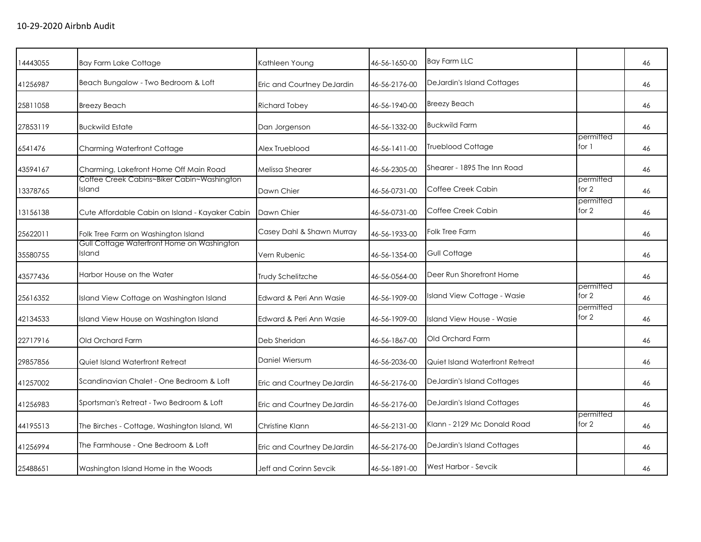| 14443055 | <b>Bay Farm Lake Cottage</b>                         | Kathleen Young             | 46-56-1650-00 | <b>Bay Farm LLC</b>               |                      | 46 |
|----------|------------------------------------------------------|----------------------------|---------------|-----------------------------------|----------------------|----|
| 41256987 | Beach Bungalow - Two Bedroom & Loft                  | Eric and Courtney DeJardin | 46-56-2176-00 | <b>DeJardin's Island Cottages</b> |                      | 46 |
| 25811058 | <b>Breezy Beach</b>                                  | <b>Richard Tobey</b>       | 46-56-1940-00 | <b>Breezy Beach</b>               |                      | 46 |
| 27853119 | <b>Buckwild Estate</b>                               | Dan Jorgenson              | 46-56-1332-00 | <b>Buckwild Farm</b>              |                      | 46 |
| 6541476  | Charming Waterfront Cottage                          | Alex Trueblood             | 46-56-1411-00 | <b>Trueblood Cottage</b>          | permitted<br>for 1   | 46 |
| 43594167 | Charming, Lakefront Home Off Main Road               | Melissa Shearer            | 46-56-2305-00 | Shearer - 1895 The Inn Road       |                      | 46 |
| 13378765 | Coffee Creek Cabins~Biker Cabin~Washington<br>Island | Dawn Chier                 | 46-56-0731-00 | Coffee Creek Cabin                | permitted<br>for 2   | 46 |
| 13156138 | Cute Affordable Cabin on Island - Kayaker Cabin      | Dawn Chier                 | 46-56-0731-00 | Coffee Creek Cabin                | permitted<br>for $2$ | 46 |
| 25622011 | Folk Tree Farm on Washington Island                  | Casey Dahl & Shawn Murray  | 46-56-1933-00 | <b>Folk Tree Farm</b>             |                      | 46 |
| 35580755 | Gull Cottage Waterfront Home on Washington<br>Island | Vern Rubenic               | 46-56-1354-00 | <b>Gull Cottage</b>               |                      | 46 |
| 43577436 | Harbor House on the Water                            | Trudy Schelitzche          | 46-56-0564-00 | Deer Run Shorefront Home          |                      | 46 |
| 25616352 | Island View Cottage on Washington Island             | Edward & Peri Ann Wasie    | 46-56-1909-00 | Island View Cottage - Wasie       | permitted<br>for $2$ | 46 |
| 42134533 | Island View House on Washington Island               | Edward & Peri Ann Wasie    | 46-56-1909-00 | Island View House - Wasie         | permitted<br>for 2   | 46 |
| 22717916 | Old Orchard Farm                                     | Deb Sheridan               | 46-56-1867-00 | Old Orchard Farm                  |                      | 46 |
| 29857856 | Quiet Island Waterfront Retreat                      | Daniel Wiersum             | 46-56-2036-00 | Quiet Island Waterfront Retreat   |                      | 46 |
| 41257002 | Scandinavian Chalet - One Bedroom & Loft             | Eric and Courtney DeJardin | 46-56-2176-00 | DeJardin's Island Cottages        |                      | 46 |
| 41256983 | Sportsman's Retreat - Two Bedroom & Loft             | Eric and Courtney DeJardin | 46-56-2176-00 | DeJardin's Island Cottages        |                      | 46 |
| 44195513 | The Birches - Cottage, Washington Island, WI         | Christine Klann            | 46-56-2131-00 | Klann - 2129 Mc Donald Road       | permitted<br>for 2   | 46 |
| 41256994 | The Farmhouse - One Bedroom & Loft                   | Eric and Courtney DeJardin | 46-56-2176-00 | <b>DeJardin's Island Cottages</b> |                      | 46 |
| 25488651 | Washington Island Home in the Woods                  | Jeff and Corinn Sevcik     | 46-56-1891-00 | West Harbor - Sevcik              |                      | 46 |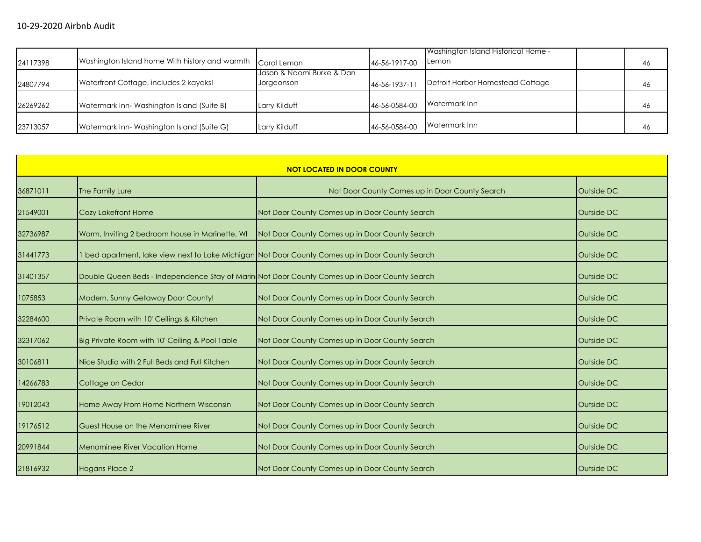| 24117398 | Washington Island home With history and warmth | Carol Lemon                             | 46-56-1917-00 | Washington Island Historical Home -<br><b>ILemon</b> | 46 |
|----------|------------------------------------------------|-----------------------------------------|---------------|------------------------------------------------------|----|
| 24807794 | Waterfront Cottage, includes 2 kayaks!         | Jason & Naomi Burke & Dan<br>Jorgeonson | 46-56-1937-11 | Detroit Harbor Homestead Cottage                     | 46 |
| 26269262 | Watermark Inn-Washington Island (Suite B)      | Larry Kilduff                           | 46-56-0584-00 | Watermark Inn                                        | 46 |
| 23713057 | Watermark Inn-Washington Island (Suite G)      | Larry Kilduff                           | 46-56-0584-00 | Watermark Inn                                        | 46 |

| <b>NOT LOCATED IN DOOR COUNTY</b> |                                                 |                                                                                                 |            |  |  |  |
|-----------------------------------|-------------------------------------------------|-------------------------------------------------------------------------------------------------|------------|--|--|--|
| 36871011                          | The Family Lure                                 | Not Door County Comes up in Door County Search                                                  | Outside DC |  |  |  |
| 21549001                          | Cozy Lakefront Home                             | Not Door County Comes up in Door County Search                                                  | Outside DC |  |  |  |
| 32736987                          | Warm, Inviting 2 bedroom house in Marinette, WI | Not Door County Comes up in Door County Search                                                  | Outside DC |  |  |  |
| 31441773                          |                                                 | 1 bed apartment, lake view next to Lake Michigan Not Door County Comes up in Door County Search | Outside DC |  |  |  |
| 31401357                          |                                                 | Double Queen Beds - Independence Stay of Marin Not Door County Comes up in Door County Search   | Outside DC |  |  |  |
| 1075853                           | Modern, Sunny Getaway Door County!              | Not Door County Comes up in Door County Search                                                  | Outside DC |  |  |  |
| 32284600                          | Private Room with 10' Ceilings & Kitchen        | Not Door County Comes up in Door County Search                                                  | Outside DC |  |  |  |
| 32317062                          | Big Private Room with 10' Ceiling & Pool Table  | Not Door County Comes up in Door County Search                                                  | Outside DC |  |  |  |
| 30106811                          | Nice Studio with 2 Full Beds and Full Kitchen   | Not Door County Comes up in Door County Search                                                  | Outside DC |  |  |  |
| 14266783                          | Cottage on Cedar                                | Not Door County Comes up in Door County Search                                                  | Outside DC |  |  |  |
| 19012043                          | Home Away From Home Northern Wisconsin          | Not Door County Comes up in Door County Search                                                  | Outside DC |  |  |  |
| 19176512                          | Guest House on the Menominee River              | Not Door County Comes up in Door County Search                                                  | Outside DC |  |  |  |
| 20991844                          | <b>Menominee River Vacation Home</b>            | Not Door County Comes up in Door County Search                                                  | Outside DC |  |  |  |
| 21816932                          | <b>Hogans Place 2</b>                           | Not Door County Comes up in Door County Search                                                  | Outside DC |  |  |  |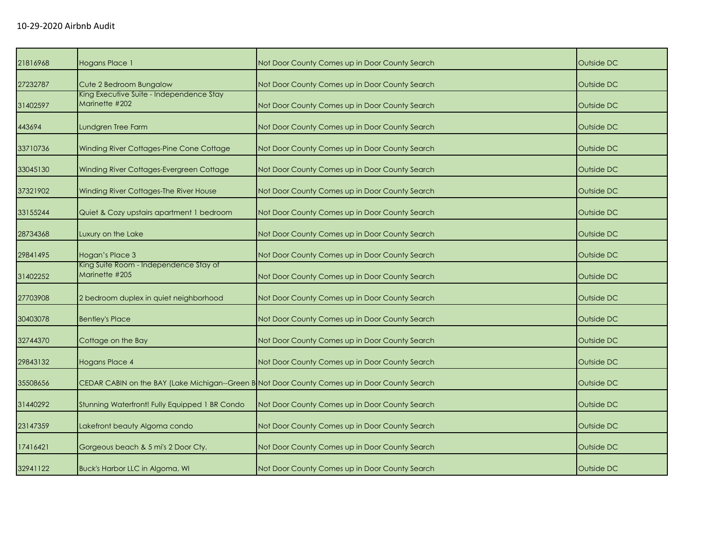| 21816968 | <b>Hogans Place 1</b>                                      | Not Door County Comes up in Door County Search                                                | Outside DC |
|----------|------------------------------------------------------------|-----------------------------------------------------------------------------------------------|------------|
| 27232787 | Cute 2 Bedroom Bungalow                                    | Not Door County Comes up in Door County Search                                                | Outside DC |
| 31402597 | King Executive Suite - Independence Stay<br>Marinette #202 | Not Door County Comes up in Door County Search                                                | Outside DC |
| 443694   | Lundgren Tree Farm                                         | Not Door County Comes up in Door County Search                                                | Outside DC |
| 33710736 | Winding River Cottages-Pine Cone Cottage                   | Not Door County Comes up in Door County Search                                                | Outside DC |
| 33045130 | Winding River Cottages-Evergreen Cottage                   | Not Door County Comes up in Door County Search                                                | Outside DC |
| 37321902 | Winding River Cottages-The River House                     | Not Door County Comes up in Door County Search                                                | Outside DC |
| 33155244 | Quiet & Cozy upstairs apartment 1 bedroom                  | Not Door County Comes up in Door County Search                                                | Outside DC |
| 28734368 | Luxury on the Lake                                         | Not Door County Comes up in Door County Search                                                | Outside DC |
| 29841495 | Hogan's Place 3                                            | Not Door County Comes up in Door County Search                                                | Outside DC |
| 31402252 | King Suite Room - Independence Stay of<br>Marinette #205   | Not Door County Comes up in Door County Search                                                | Outside DC |
| 27703908 | 2 bedroom duplex in quiet neighborhood                     | Not Door County Comes up in Door County Search                                                | Outside DC |
| 30403078 | <b>Bentley's Place</b>                                     | Not Door County Comes up in Door County Search                                                | Outside DC |
| 32744370 | Cottage on the Bay                                         | Not Door County Comes up in Door County Search                                                | Outside DC |
| 29843132 | Hogans Place 4                                             | Not Door County Comes up in Door County Search                                                | Outside DC |
| 35508656 |                                                            | CEDAR CABIN on the BAY (Lake Michigan--Green B Not Door County Comes up in Door County Search | Outside DC |
| 31440292 | Stunning Waterfront! Fully Equipped 1 BR Condo             | Not Door County Comes up in Door County Search                                                | Outside DC |
| 23147359 | Lakefront beauty Algoma condo                              | Not Door County Comes up in Door County Search                                                | Outside DC |
| 17416421 | Gorgeous beach & 5 mi's 2 Door Cty.                        | Not Door County Comes up in Door County Search                                                | Outside DC |
| 32941122 | Buck's Harbor LLC in Algoma, WI                            | Not Door County Comes up in Door County Search                                                | Outside DC |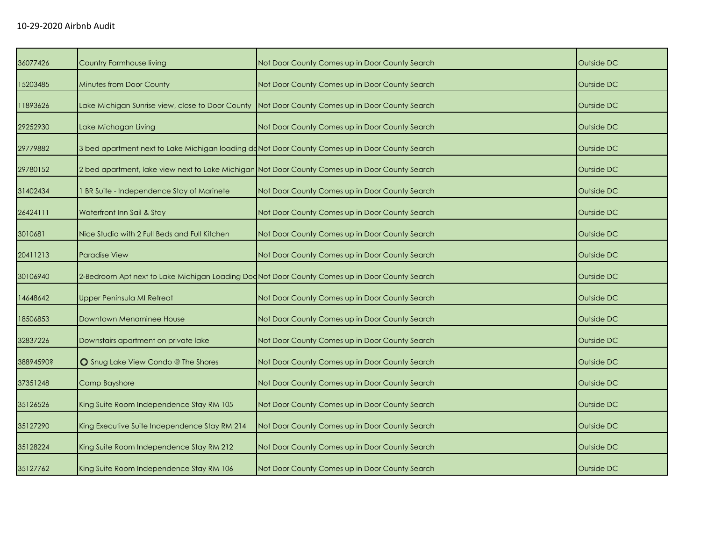| 36077426  | <b>Country Farmhouse living</b>                                                                | Not Door County Comes up in Door County Search                                                    | Outside DC |
|-----------|------------------------------------------------------------------------------------------------|---------------------------------------------------------------------------------------------------|------------|
| 15203485  | <b>Minutes from Door County</b>                                                                | Not Door County Comes up in Door County Search                                                    | Outside DC |
| 11893626  |                                                                                                | Lake Michigan Sunrise view, close to Door County   Not Door County Comes up in Door County Search | Outside DC |
| 29252930  | Lake Michagan Living                                                                           | Not Door County Comes up in Door County Search                                                    | Outside DC |
| 29779882  | 3 bed apartment next to Lake Michigan loading doNot Door County Comes up in Door County Search |                                                                                                   | Outside DC |
| 29780152  |                                                                                                | 2 bed apartment, lake view next to Lake Michigan Not Door County Comes up in Door County Search   | Outside DC |
| 31402434  | BR Suite - Independence Stay of Marinete                                                       | Not Door County Comes up in Door County Search                                                    | Outside DC |
| 26424111  | Waterfront Inn Sail & Stay                                                                     | Not Door County Comes up in Door County Search                                                    | Outside DC |
| 3010681   | Nice Studio with 2 Full Beds and Full Kitchen                                                  | Not Door County Comes up in Door County Search                                                    | Outside DC |
| 20411213  | <b>Paradise View</b>                                                                           | Not Door County Comes up in Door County Search                                                    | Outside DC |
| 30106940  |                                                                                                | 2-Bedroom Apt next to Lake Michigan Loading Doc Not Door County Comes up in Door County Search    | Outside DC |
| 14648642  | Upper Peninsula MI Retreat                                                                     | Not Door County Comes up in Door County Search                                                    | Outside DC |
| 18506853  | Downtown Menominee House                                                                       | Not Door County Comes up in Door County Search                                                    | Outside DC |
| 32837226  | Downstairs apartment on private lake                                                           | Not Door County Comes up in Door County Search                                                    | Outside DC |
| 38894590? | Shug Lake View Condo @ The Shores                                                              | Not Door County Comes up in Door County Search                                                    | Outside DC |
| 37351248  | Camp Bayshore                                                                                  | Not Door County Comes up in Door County Search                                                    | Outside DC |
| 35126526  | King Suite Room Independence Stay RM 105                                                       | Not Door County Comes up in Door County Search                                                    | Outside DC |
| 35127290  | King Executive Suite Independence Stay RM 214                                                  | Not Door County Comes up in Door County Search                                                    | Outside DC |
| 35128224  | King Suite Room Independence Stay RM 212                                                       | Not Door County Comes up in Door County Search                                                    | Outside DC |
| 35127762  | King Suite Room Independence Stay RM 106                                                       | Not Door County Comes up in Door County Search                                                    | Outside DC |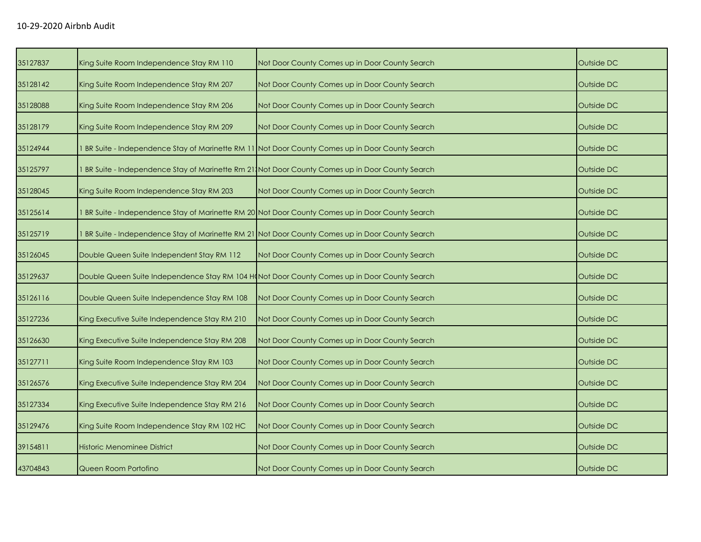| 35127837 | King Suite Room Independence Stay RM 110      | Not Door County Comes up in Door County Search                                                   | Outside DC |
|----------|-----------------------------------------------|--------------------------------------------------------------------------------------------------|------------|
| 35128142 | King Suite Room Independence Stay RM 207      | Not Door County Comes up in Door County Search                                                   | Outside DC |
| 35128088 | King Suite Room Independence Stay RM 206      | Not Door County Comes up in Door County Search                                                   | Outside DC |
| 35128179 | King Suite Room Independence Stay RM 209      | Not Door County Comes up in Door County Search                                                   | Outside DC |
| 35124944 |                                               | 1 BR Suite - Independence Stay of Marinette RM 11 Not Door County Comes up in Door County Search | Outside DC |
| 35125797 |                                               | BR Suite - Independence Stay of Marinette Rm 21, Not Door County Comes up in Door County Search  | Outside DC |
| 35128045 | King Suite Room Independence Stay RM 203      | Not Door County Comes up in Door County Search                                                   | Outside DC |
| 35125614 |                                               | BR Suite - Independence Stay of Marinette RM 20 Not Door County Comes up in Door County Search   | Outside DC |
| 35125719 |                                               | 1 BR Suite - Independence Stay of Marinette RM 21 Not Door County Comes up in Door County Search | Outside DC |
| 35126045 | Double Queen Suite Independent Stay RM 112    | Not Door County Comes up in Door County Search                                                   | Outside DC |
| 35129637 |                                               | Double Queen Suite Independence Stay RM 104 H(Not Door County Comes up in Door County Search     | Outside DC |
| 35126116 | Double Queen Suite Independence Stay RM 108   | Not Door County Comes up in Door County Search                                                   | Outside DC |
| 35127236 | King Executive Suite Independence Stay RM 210 | Not Door County Comes up in Door County Search                                                   | Outside DC |
| 35126630 | King Executive Suite Independence Stay RM 208 | Not Door County Comes up in Door County Search                                                   | Outside DC |
| 35127711 | King Suite Room Independence Stay RM 103      | Not Door County Comes up in Door County Search                                                   | Outside DC |
| 35126576 | King Executive Suite Independence Stay RM 204 | Not Door County Comes up in Door County Search                                                   | Outside DC |
| 35127334 | King Executive Suite Independence Stay RM 216 | Not Door County Comes up in Door County Search                                                   | Outside DC |
| 35129476 | King Suite Room Independence Stay RM 102 HC   | Not Door County Comes up in Door County Search                                                   | Outside DC |
| 39154811 | <b>Historic Menominee District</b>            | Not Door County Comes up in Door County Search                                                   | Outside DC |
| 43704843 | Queen Room Portofino                          | Not Door County Comes up in Door County Search                                                   | Outside DC |